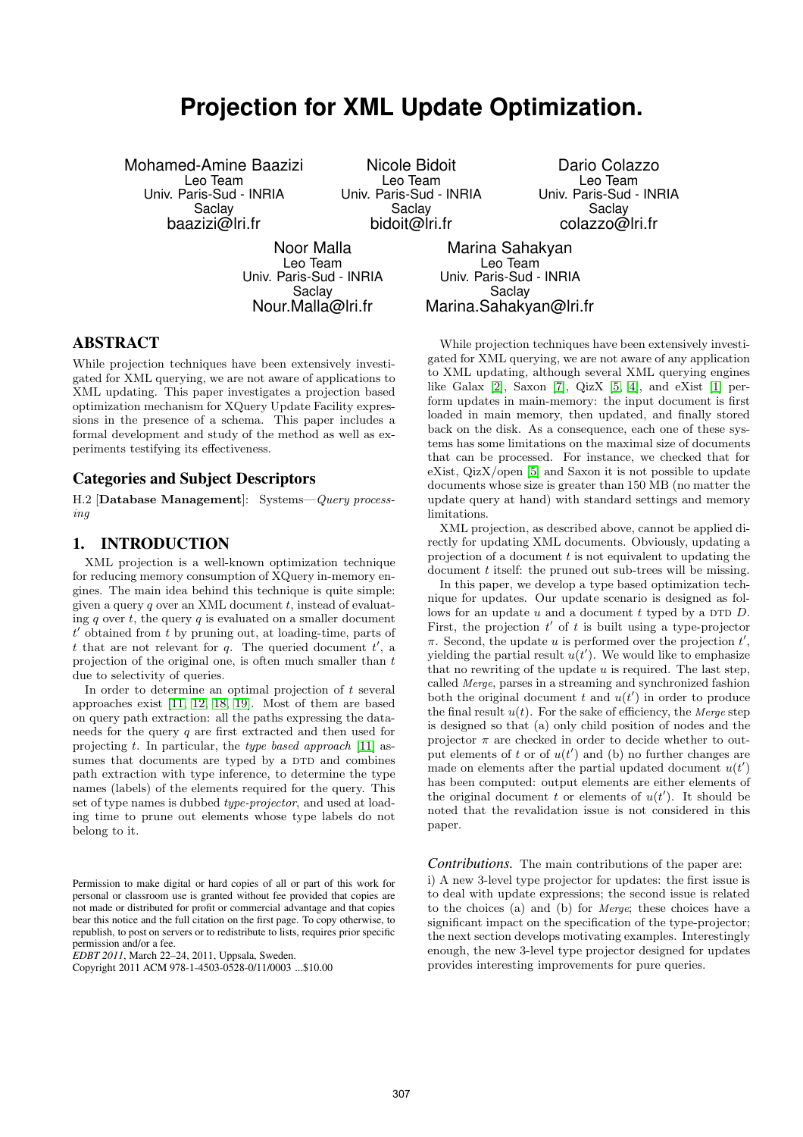# **Projection for XML Update Optimization.**

Mohamed-Amine Baazizi Leo Team Univ. Paris-Sud - INRIA **Saclav** baazizi@lri.fr

Nicole Bidoit Leo Team Univ. Paris-Sud - INRIA **Saclav** bidoit@lri.fr

Dario Colazzo Leo Team Univ. Paris-Sud - INRIA **Saclav** colazzo@lri.fr

Noor Malla Leo Team Univ. Paris-Sud - INRIA **Saclav** Nour.Malla@lri.fr

Marina Sahakyan Leo Team Univ. Paris-Sud - INRIA **Saclav** Marina.Sahakyan@lri.fr

# ABSTRACT

While projection techniques have been extensively investigated for XML querying, we are not aware of applications to XML updating. This paper investigates a projection based optimization mechanism for XQuery Update Facility expressions in the presence of a schema. This paper includes a formal development and study of the method as well as experiments testifying its effectiveness.

# Categories and Subject Descriptors

H.2 [Database Management]: Systems—*Query processing*

# 1. INTRODUCTION

XML projection is a well-known optimization technique for reducing memory consumption of XQuery in-memory engines. The main idea behind this technique is quite simple: given a query  $q$  over an XML document  $t$ , instead of evaluating q over t, the query q is evaluated on a smaller document  $t'$  obtained from t by pruning out, at loading-time, parts of t that are not relevant for  $q$ . The queried document  $t'$ , a projection of the original one, is often much smaller than  $t$ due to selectivity of queries.

In order to determine an optimal projection of  $t$  several approaches exist [\[11,](#page-11-0) [12,](#page-11-1) [18,](#page-11-2) [19\]](#page-11-3). Most of them are based on query path extraction: all the paths expressing the dataneeds for the query q are first extracted and then used for projecting t. In particular, the *type based approach* [\[11\]](#page-11-0) assumes that documents are typed by a DTD and combines path extraction with type inference, to determine the type names (labels) of the elements required for the query. This set of type names is dubbed *type-projector*, and used at loading time to prune out elements whose type labels do not belong to it.

*EDBT 2011*, March 22–24, 2011, Uppsala, Sweden.

While projection techniques have been extensively investigated for XML querying, we are not aware of any application to XML updating, although several XML querying engines like Galax [\[2\]](#page-11-4), Saxon [\[7\]](#page-11-5), QizX [\[5,](#page-11-6) [4\]](#page-11-7), and eXist [\[1\]](#page-11-8) perform updates in main-memory: the input document is first loaded in main memory, then updated, and finally stored back on the disk. As a consequence, each one of these systems has some limitations on the maximal size of documents that can be processed. For instance, we checked that for eXist, QizX/open [\[5\]](#page-11-6) and Saxon it is not possible to update documents whose size is greater than 150 MB (no matter the update query at hand) with standard settings and memory limitations.

XML projection, as described above, cannot be applied directly for updating XML documents. Obviously, updating a projection of a document  $t$  is not equivalent to updating the document  $t$  itself: the pruned out sub-trees will be missing.

In this paper, we develop a type based optimization technique for updates. Our update scenario is designed as follows for an update  $u$  and a document  $t$  typed by a DTD  $D$ . First, the projection  $t'$  of  $t$  is built using a type-projector  $\pi$ . Second, the update u is performed over the projection  $t'$ , yielding the partial result  $u(t')$ . We would like to emphasize that no rewriting of the update  $u$  is required. The last step, called Merge, parses in a streaming and synchronized fashion both the original document  $t$  and  $u(t')$  in order to produce the final result  $u(t)$ . For the sake of efficiency, the Merge step is designed so that (a) only child position of nodes and the projector  $\pi$  are checked in order to decide whether to output elements of t or of  $u(t')$  and (b) no further changes are made on elements after the partial updated document  $u(t')$ has been computed: output elements are either elements of the original document t or elements of  $u(t')$ . It should be noted that the revalidation issue is not considered in this paper.

*Contributions.* The main contributions of the paper are:

i) A new 3-level type projector for updates: the first issue is to deal with update expressions; the second issue is related to the choices (a) and (b) for Merge; these choices have a significant impact on the specification of the type-projector; the next section develops motivating examples. Interestingly enough, the new 3-level type projector designed for updates provides interesting improvements for pure queries.

Permission to make digital or hard copies of all or part of this work for personal or classroom use is granted without fee provided that copies are not made or distributed for profit or commercial advantage and that copies bear this notice and the full citation on the first page. To copy otherwise, to republish, to post on servers or to redistribute to lists, requires prior specific permission and/or a fee.

Copyright 2011 ACM 978-1-4503-0528-0/11/0003 ...\$10.00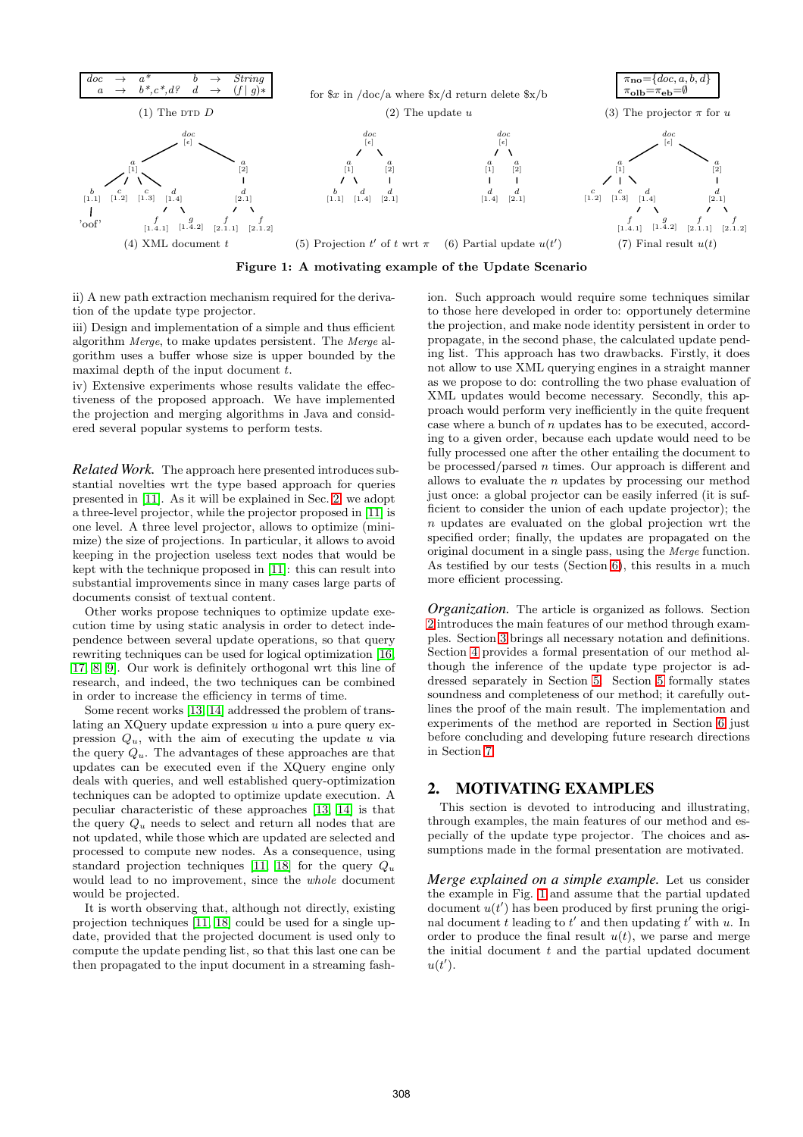

ii) A new path extraction mechanism required for the derivation of the update type projector.

iii) Design and implementation of a simple and thus efficient algorithm Merge, to make updates persistent. The Merge algorithm uses a buffer whose size is upper bounded by the maximal depth of the input document  $t$ .

iv) Extensive experiments whose results validate the effectiveness of the proposed approach. We have implemented the projection and merging algorithms in Java and considered several popular systems to perform tests.

*Related Work.* The approach here presented introduces substantial novelties wrt the type based approach for queries presented in [\[11\]](#page-11-0). As it will be explained in Sec. [2,](#page-1-0) we adopt a three-level projector, while the projector proposed in [\[11\]](#page-11-0) is one level. A three level projector, allows to optimize (minimize) the size of projections. In particular, it allows to avoid keeping in the projection useless text nodes that would be kept with the technique proposed in [\[11\]](#page-11-0): this can result into substantial improvements since in many cases large parts of documents consist of textual content.

Other works propose techniques to optimize update execution time by using static analysis in order to detect independence between several update operations, so that query rewriting techniques can be used for logical optimization [\[16,](#page-11-9) [17,](#page-11-10) [8,](#page-11-11) [9\]](#page-11-12). Our work is definitely orthogonal wrt this line of research, and indeed, the two techniques can be combined in order to increase the efficiency in terms of time.

Some recent works [\[13,](#page-11-13) [14\]](#page-11-14) addressed the problem of translating an XQuery update expression u into a pure query expression  $Q_u$ , with the aim of executing the update u via the query  $Q_u$ . The advantages of these approaches are that updates can be executed even if the XQuery engine only deals with queries, and well established query-optimization techniques can be adopted to optimize update execution. A peculiar characteristic of these approaches [\[13,](#page-11-13) [14\]](#page-11-14) is that the query  $Q_u$  needs to select and return all nodes that are not updated, while those which are updated are selected and processed to compute new nodes. As a consequence, using standard projection techniques [\[11,](#page-11-0) [18\]](#page-11-2) for the query  $Q_u$ would lead to no improvement, since the *whole* document would be projected.

It is worth observing that, although not directly, existing projection techniques [\[11,](#page-11-0) [18\]](#page-11-2) could be used for a single update, provided that the projected document is used only to compute the update pending list, so that this last one can be then propagated to the input document in a streaming fash-

<span id="page-1-1"></span>ion. Such approach would require some techniques similar to those here developed in order to: opportunely determine the projection, and make node identity persistent in order to propagate, in the second phase, the calculated update pending list. This approach has two drawbacks. Firstly, it does not allow to use XML querying engines in a straight manner as we propose to do: controlling the two phase evaluation of XML updates would become necessary. Secondly, this approach would perform very inefficiently in the quite frequent case where a bunch of n updates has to be executed, according to a given order, because each update would need to be fully processed one after the other entailing the document to be processed/parsed  $n$  times. Our approach is different and allows to evaluate the  $n$  updates by processing our method just once: a global projector can be easily inferred (it is sufficient to consider the union of each update projector); the n updates are evaluated on the global projection wrt the specified order; finally, the updates are propagated on the original document in a single pass, using the Merge function. As testified by our tests (Section [6\)](#page-9-0), this results in a much more efficient processing.

*Organization.* The article is organized as follows. Section [2](#page-1-0) introduces the main features of our method through examples. Section [3](#page-3-0) brings all necessary notation and definitions. Section [4](#page-4-0) provides a formal presentation of our method although the inference of the update type projector is addressed separately in Section [5.](#page-5-0) Section [5](#page-7-0) formally states soundness and completeness of our method; it carefully outlines the proof of the main result. The implementation and experiments of the method are reported in Section [6](#page-9-0) just before concluding and developing future research directions in Section [7.](#page-10-0)

# <span id="page-1-0"></span>2. MOTIVATING EXAMPLES

This section is devoted to introducing and illustrating, through examples, the main features of our method and especially of the update type projector. The choices and assumptions made in the formal presentation are motivated.

*Merge explained on a simple example.* Let us consider the example in Fig. [1](#page-1-1) and assume that the partial updated document  $u(t')$  has been produced by first pruning the original document t leading to  $t'$  and then updating  $t'$  with  $u$ . In order to produce the final result  $u(t)$ , we parse and merge the initial document  $t$  and the partial updated document  $u(t^{\prime}).$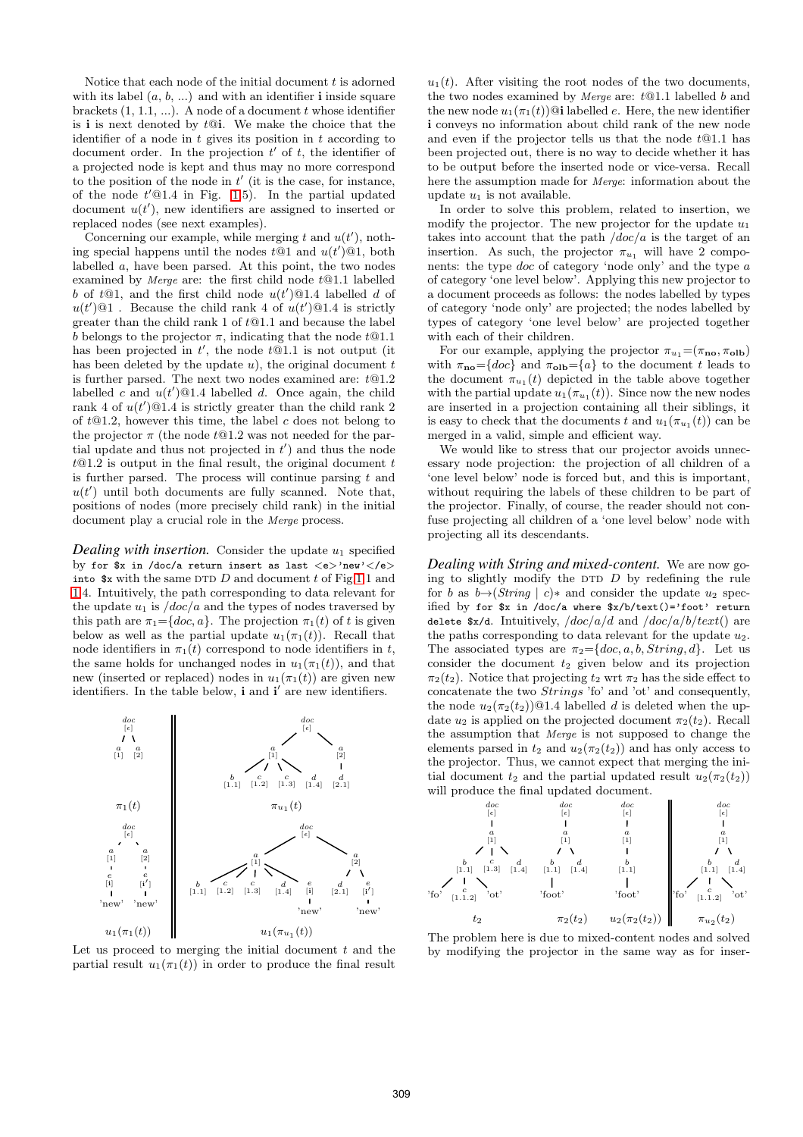Notice that each node of the initial document  $t$  is adorned with its label  $(a, b, \ldots)$  and with an identifier i inside square brackets  $(1, 1.1, ...)$ . A node of a document t whose identifier is **i** is next denoted by  $t@i$ . We make the choice that the identifier of a node in  $t$  gives its position in  $t$  according to document order. In the projection  $t'$  of  $t$ , the identifier of a projected node is kept and thus may no more correspond to the position of the node in  $t'$  (it is the case, for instance, of the node  $t'@1.4$  in Fig. [1.](#page-1-1)5). In the partial updated document  $u(t')$ , new identifiers are assigned to inserted or replaced nodes (see next examples).

Concerning our example, while merging t and  $u(t')$ , nothing special happens until the nodes  $t@1$  and  $u(t')@1$ , both labelled a, have been parsed. At this point, the two nodes examined by Merge are: the first child node  $t@1.1$  labelled b of  $t@1$ , and the first child node  $u(t')@1.4$  labelled d of  $u(t')@1$ . Because the child rank 4 of  $u(t')@1.4$  is strictly greater than the child rank 1 of  $t@1.1$  and because the label b belongs to the projector  $\pi$ , indicating that the node  $t@1.1$ has been projected in  $t'$ , the node  $t@1.1$  is not output (it has been deleted by the update  $u$ ), the original document  $t$ is further parsed. The next two nodes examined are:  $t@1.2$ labelled c and  $u(t')@1.4$  labelled d. Once again, the child rank 4 of  $u(t')@1.4$  is strictly greater than the child rank 2 of  $t@1.2$ , however this time, the label c does not belong to the projector  $\pi$  (the node  $t@1.2$  was not needed for the partial update and thus not projected in  $t'$ ) and thus the node  $t@1.2$  is output in the final result, the original document  $t$ is further parsed. The process will continue parsing  $t$  and  $u(t')$  until both documents are fully scanned. Note that, positions of nodes (more precisely child rank) in the initial document play a crucial role in the Merge process.

*Dealing with insertion.* Consider the update  $u_1$  specified by for \$x in /doc/a return insert as last  $\langle e \rangle$ 'new' $\langle /e \rangle$ into  $x$  with the same DTD D and document t of Fig[.1.](#page-1-1)1 and [1.](#page-1-1)4. Intuitively, the path corresponding to data relevant for the update  $u_1$  is  $doc/a$  and the types of nodes traversed by this path are  $\pi_1 = \{doc, a\}$ . The projection  $\pi_1(t)$  of t is given below as well as the partial update  $u_1(\pi_1(t))$ . Recall that node identifiers in  $\pi_1(t)$  correspond to node identifiers in t, the same holds for unchanged nodes in  $u_1(\pi_1(t))$ , and that new (inserted or replaced) nodes in  $u_1(\pi_1(t))$  are given new identifiers. In the table below, i and i' are new identifiers.



Let us proceed to merging the initial document  $t$  and the partial result  $u_1(\pi_1(t))$  in order to produce the final result

 $u_1(t)$ . After visiting the root nodes of the two documents, the two nodes examined by Merge are:  $t@1.1$  labelled b and the new node  $u_1(\pi_1(t))$ @i labelled e. Here, the new identifier i conveys no information about child rank of the new node and even if the projector tells us that the node  $t@1.1$  has been projected out, there is no way to decide whether it has to be output before the inserted node or vice-versa. Recall here the assumption made for Merge: information about the update  $u_1$  is not available.

In order to solve this problem, related to insertion, we modify the projector. The new projector for the update  $u_1$ takes into account that the path  $doc/a$  is the target of an insertion. As such, the projector  $\pi_{u_1}$  will have 2 components: the type doc of category 'node only' and the type a of category 'one level below'. Applying this new projector to a document proceeds as follows: the nodes labelled by types of category 'node only' are projected; the nodes labelled by types of category 'one level below' are projected together with each of their children.

For our example, applying the projector  $\pi_{u_1} = (\pi_{\text{no}}, \pi_{\text{olb}})$ with  $\pi_{\text{no}} = \{doc\}$  and  $\pi_{\text{olb}} = \{a\}$  to the document t leads to the document  $\pi_{u_1}(t)$  depicted in the table above together with the partial update  $u_1(\pi_{u_1}(t))$ . Since now the new nodes are inserted in a projection containing all their siblings, it is easy to check that the documents t and  $u_1(\pi_{u_1}(t))$  can be merged in a valid, simple and efficient way.

We would like to stress that our projector avoids unnecessary node projection: the projection of all children of a 'one level below' node is forced but, and this is important, without requiring the labels of these children to be part of the projector. Finally, of course, the reader should not confuse projecting all children of a 'one level below' node with projecting all its descendants.

*Dealing with String and mixed-content.* We are now going to slightly modify the DTD  $D$  by redefining the rule for b as  $b \rightarrow (String \mid c)*$  and consider the update  $u_2$  specified by for \$x in /doc/a where \$x/b/text()='foot' return delete  $x/d$ . Intuitively,  $doc/a/d$  and  $doc/a/b/text)$  are the paths corresponding to data relevant for the update  $u_2$ . The associated types are  $\pi_2 = \{doc, a, b, String, d\}$ . Let us consider the document  $t_2$  given below and its projection  $\pi_2(t_2)$ . Notice that projecting  $t_2$  wrt  $\pi_2$  has the side effect to concatenate the two Strings 'fo' and 'ot' and consequently, the node  $u_2(\pi_2(t_2))@1.4$  labelled d is deleted when the update  $u_2$  is applied on the projected document  $\pi_2(t_2)$ . Recall the assumption that Merge is not supposed to change the elements parsed in  $t_2$  and  $u_2(\pi_2(t_2))$  and has only access to the projector. Thus, we cannot expect that merging the initial document  $t_2$  and the partial updated result  $u_2(\pi_2(t_2))$ will produce the final updated document.



The problem here is due to mixed-content nodes and solved by modifying the projector in the same way as for inser-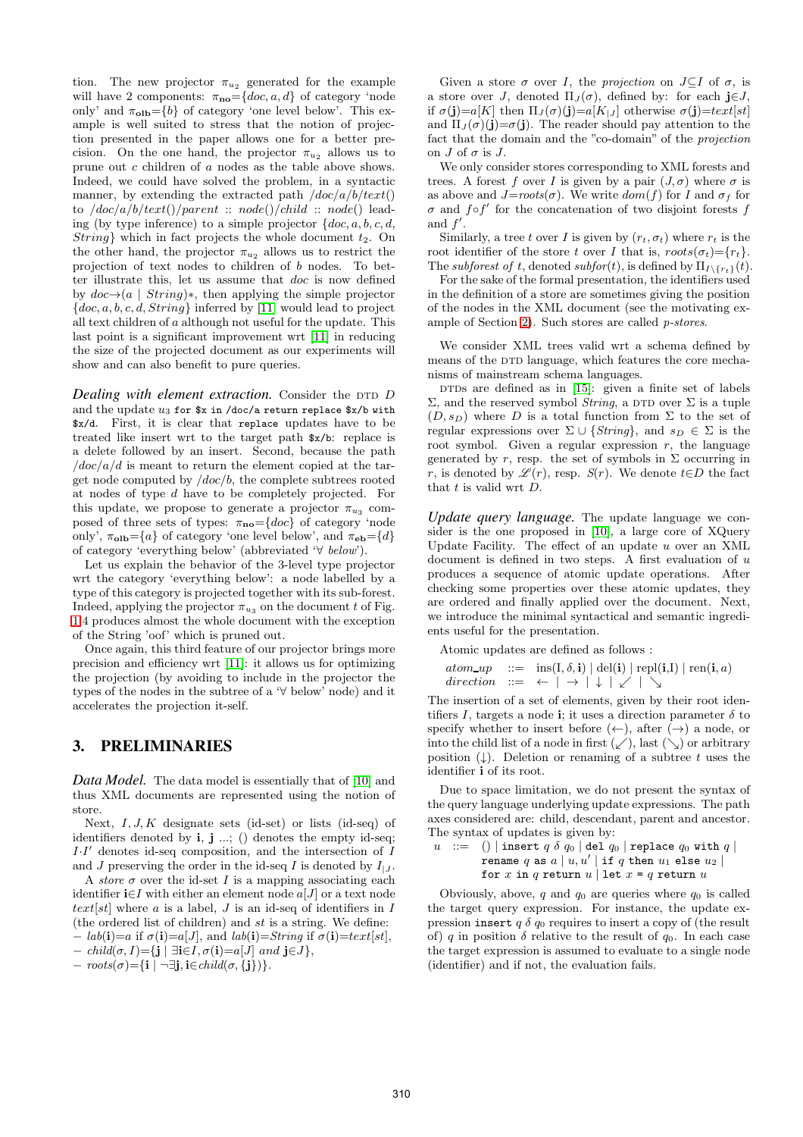tion. The new projector  $\pi_{u_2}$  generated for the example will have 2 components:  $\pi_{\text{no}} = \{doc, a, d\}$  of category 'node only' and  $\pi_{\text{olb}} = \{b\}$  of category 'one level below'. This example is well suited to stress that the notion of projection presented in the paper allows one for a better precision. On the one hand, the projector  $\pi_{u_2}$  allows us to prune out c children of a nodes as the table above shows. Indeed, we could have solved the problem, in a syntactic manner, by extending the extracted path  $\frac{d\alpha}{d\rho}$  /doc/a/b/text() to  $\frac{d\alpha}{d\alpha}$  /*doc*/a/*b*/text()/parent :: node()/*child* :: node() leading (by type inference) to a simple projector  $\{doc, a, b, c, d,$ String} which in fact projects the whole document  $t_2$ . On the other hand, the projector  $\pi_{u_2}$  allows us to restrict the projection of text nodes to children of b nodes. To better illustrate this, let us assume that doc is now defined by  $doc\rightarrow(a \mid String)*$ , then applying the simple projector  ${doc, a, b, c, d, String}$  inferred by [\[11\]](#page-11-0) would lead to project all text children of a although not useful for the update. This last point is a significant improvement wrt [\[11\]](#page-11-0) in reducing the size of the projected document as our experiments will show and can also benefit to pure queries.

*Dealing with element extraction.* Consider the DTD *D* and the update  $u_3$  for  $x$  in /doc/a return replace  $x/b$  with \$x/d. First, it is clear that replace updates have to be treated like insert wrt to the target path \$x/b: replace is a delete followed by an insert. Second, because the path  $\int$ doc $\int$ a $\int$ d is meant to return the element copied at the target node computed by  $\frac{d\alpha}{b}$ , the complete subtrees rooted at nodes of type d have to be completely projected. For this update, we propose to generate a projector  $\pi_{u_3}$  composed of three sets of types:  $\pi_{\text{no}} = \{doc\}$  of category 'node only',  $\pi_{\text{olb}} = \{a\}$  of category 'one level below', and  $\pi_{\text{eb}} = \{d\}$ of category 'everything below' (abbreviated '∀ *below*').

Let us explain the behavior of the 3-level type projector wrt the category 'everything below': a node labelled by a type of this category is projected together with its sub-forest. Indeed, applying the projector  $\pi_{u_3}$  on the document t of Fig. [1.](#page-1-1)4 produces almost the whole document with the exception of the String 'oof' which is pruned out.

Once again, this third feature of our projector brings more precision and efficiency wrt [\[11\]](#page-11-0): it allows us for optimizing the projection (by avoiding to include in the projector the types of the nodes in the subtree of a '∀ below' node) and it accelerates the projection it-self.

# <span id="page-3-0"></span>3. PRELIMINARIES

*Data Model.* The data model is essentially that of [\[10\]](#page-11-15) and thus XML documents are represented using the notion of store.

Next,  $I, J, K$  designate sets (id-set) or lists (id-seq) of identifiers denoted by i, j ...; () denotes the empty id-seq;  $I \cdot I'$  denotes id-seq composition, and the intersection of  $I$ and J preserving the order in the id-seq I is denoted by  $I_{\downarrow J}$ .

A *store*  $\sigma$  over the id-set I is a mapping associating each identifier **i**∈I with either an element node  $a[J]$  or a text node text[st] where a is a label,  $J$  is an id-seq of identifiers in  $I$ (the ordered list of children) and  $st$  is a string. We define:

 $-$  *lab*(i)=a if  $\sigma$ (i)=a[J], and *lab*(i)=*String* if  $\sigma$ (i)=text[st],

- $-$  *child*( $\sigma$ , I)={j | ∃i∈I,  $\sigma$ (i)=a[J] and j∈J},
- − *roots*(σ)={i | ¬∃j, i∈*child*(σ, {j})}.

Given a store  $\sigma$  over I, the *projection* on  $J\subseteq I$  of  $\sigma$ , is a store over J, denoted  $\Pi_J(\sigma)$ , defined by: for each j∈J, if  $\sigma(j)=a[K]$  then  $\Pi_J(\sigma)(j)=a[K_{|J}]$  otherwise  $\sigma(j)=text[st]$ and  $\Pi_J(\sigma)(\mathbf{j})=\sigma(\mathbf{j})$ . The reader should pay attention to the fact that the domain and the "co-domain" of the *projection* on  $J$  of  $\sigma$  is  $J$ .

We only consider stores corresponding to XML forests and trees. A forest f over I is given by a pair  $(J, \sigma)$  where  $\sigma$  is as above and  $J=roots(\sigma)$ . We write  $dom(f)$  for I and  $\sigma_f$  for  $\sigma$  and  $f \circ f'$  for the concatenation of two disjoint forests f and  $f'$ .

Similarly, a tree t over I is given by  $(r_t, \sigma_t)$  where  $r_t$  is the root identifier of the store t over I that is,  $roots(\sigma_t) = \{r_t\}.$ The *subforest of* t, denoted  $\text{subfor}(t)$ , is defined by  $\Pi_{I\setminus\{r_t\}}(t)$ .

For the sake of the formal presentation, the identifiers used in the definition of a store are sometimes giving the position of the nodes in the XML document (see the motivating example of Section [2\)](#page-1-0). Such stores are called *p-stores*.

We consider XML trees valid wrt a schema defined by means of the DTD language, which features the core mechanisms of mainstream schema languages.

 $DTDS$  are defined as in [\[15\]](#page-11-16): given a finite set of labels  $\Sigma$ , and the reserved symbol *String*, a DTD over  $\Sigma$  is a tuple  $(D, s_D)$  where D is a total function from  $\Sigma$  to the set of regular expressions over  $\Sigma \cup \{String\}$ , and  $s_D \in \Sigma$  is the root symbol. Given a regular expression  $r$ , the language generated by r, resp. the set of symbols in  $\Sigma$  occurring in r, is denoted by  $\mathscr{L}(r)$ , resp. *S*(r). We denote  $t \in D$  the fact that  $t$  is valid wrt  $D$ .

*Update query language.* The update language we consider is the one proposed in [\[10\]](#page-11-15), a large core of XQuery Update Facility. The effect of an update  $u$  over an XML document is defined in two steps. A first evaluation of  $u$ produces a sequence of atomic update operations. After checking some properties over these atomic updates, they are ordered and finally applied over the document. Next, we introduce the minimal syntactical and semantic ingredients useful for the presentation.

Atomic updates are defined as follows :

$$
\begin{array}{ll}\n\text{atom\_up} & ::= & \text{ins}(I, \delta, \mathbf{i}) \mid \text{del}(\mathbf{i}) \mid \text{rep}(\mathbf{i}, I) \mid \text{ren}(\mathbf{i}, a) \\
\text{direction} & ::= & \leftarrow \mid \rightarrow \mid \downarrow \mid \swarrow \mid \searrow\n\end{array}
$$

The insertion of a set of elements, given by their root identifiers I, targets a node i; it uses a direction parameter  $\delta$  to specify whether to insert before  $(\leftarrow)$ , after  $(\rightarrow)$  a node, or into the child list of a node in first  $(\swarrow)$ , last  $(\searrow)$  or arbitrary position  $(\downarrow)$ . Deletion or renaming of a subtree t uses the identifier i of its root.

Due to space limitation, we do not present the syntax of the query language underlying update expressions. The path axes considered are: child, descendant, parent and ancestor. The syntax of updates is given by:

$$
u ::= () | \text{ insert } q \delta q_0 | \text{ del } q_0 | \text{ replace } q_0 \text{ with } q |
$$
  
rename  $q$  as  $a | u, u' |$  if  $q$  then  $u_1$  else  $u_2 |$   
for  $x$  in  $q$  return  $u |$  let  $x = q$  return  $u$ 

Obviously, above, q and  $q_0$  are queries where  $q_0$  is called the target query expression. For instance, the update expression insert  $q \delta q_0$  requires to insert a copy of (the result of) q in position  $\delta$  relative to the result of  $q_0$ . In each case the target expression is assumed to evaluate to a single node (identifier) and if not, the evaluation fails.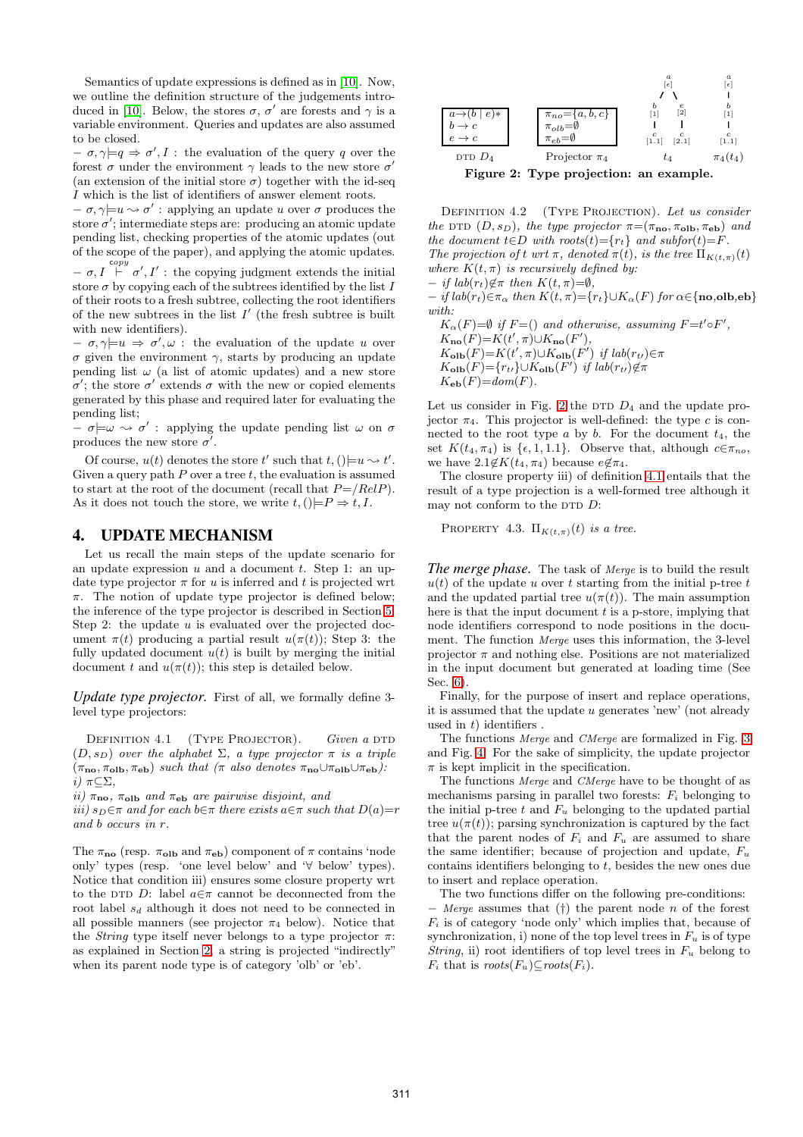Semantics of update expressions is defined as in [\[10\]](#page-11-15). Now, we outline the definition structure of the judgements intro-duced in [\[10\]](#page-11-15). Below, the stores  $\sigma$ ,  $\sigma'$  are forests and  $\gamma$  is a variable environment. Queries and updates are also assumed to be closed.

 $-\sigma, \gamma \models q \Rightarrow \sigma', I$ : the evaluation of the query q over the forest  $\sigma$  under the environment  $\gamma$  leads to the new store  $\sigma'$ (an extension of the initial store  $\sigma$ ) together with the id-seq I which is the list of identifiers of answer element roots.

 $-\sigma, \gamma \models u \leadsto \sigma'$ : applying an update u over  $\sigma$  produces the store  $\sigma'$ ; intermediate steps are: producing an atomic update pending list, checking properties of the atomic updates (out of the scope of the paper), and applying the atomic updates.

 $-\sigma, I \stackrel{copy}{\vdash} \sigma', I'$ : the copying judgment extends the initial store  $\sigma$  by copying each of the subtrees identified by the list I of their roots to a fresh subtree, collecting the root identifiers of the new subtrees in the list  $I'$  (the fresh subtree is built with new identifiers).

 $-\sigma, \gamma \models u \Rightarrow \sigma', \omega$ : the evaluation of the update u over  $\sigma$  given the environment  $\gamma$ , starts by producing an update pending list  $\omega$  (a list of atomic updates) and a new store σ ′ ; the store σ ′ extends σ with the new or copied elements generated by this phase and required later for evaluating the pending list;

 $\bar{\sigma}$  =  $\sigma = \bar{\sigma}$  ÷  $\sigma'$  : applying the update pending list  $\omega$  on  $\sigma$ produces the new store  $\sigma'$ .

Of course,  $u(t)$  denotes the store t' such that  $t, () \models u \rightsquigarrow t'.$ Given a query path  $P$  over a tree  $t$ , the evaluation is assumed to start at the root of the document (recall that  $P=$ / $ReIP$ ). As it does not touch the store, we write  $t, (|\equiv P \Rightarrow t, I$ .

### <span id="page-4-0"></span>4. UPDATE MECHANISM

Let us recall the main steps of the update scenario for an update expression u and a document t. Step 1: an update type projector  $\pi$  for u is inferred and t is projected wrt  $\pi$ . The notion of update type projector is defined below; the inference of the type projector is described in Section [5;](#page-5-0) Step 2: the update  $u$  is evaluated over the projected document  $\pi(t)$  producing a partial result  $u(\pi(t))$ ; Step 3: the fully updated document  $u(t)$  is built by merging the initial document t and  $u(\pi(t))$ ; this step is detailed below.

<span id="page-4-2"></span>*Update type projector.* First of all, we formally define 3 level type projectors:

DEFINITION 4.1 (TYPE PROJECTOR). *Given a* DTD  $(D, s_D)$  *over the alphabet*  $\Sigma$ , *a type projector*  $\pi$  *is a triple*  $(\pi_{\text{no}}, \pi_{\text{olb}}, \pi_{\text{eb}})$  *such that*  $(\pi$  *also denotes*  $\pi_{\text{no}} \cup \pi_{\text{olb}} \cup \pi_{\text{eb}})$ : *i)* π⊆Σ*,*

 $ii)$   $\pi_{\bf{no}}$ ,  $\pi_{\bf{olb}}$  *and*  $\pi_{\bf{eb}}$  *are pairwise disjoint, and* 

*iii*)  $s_D \in \pi$  *and for each*  $b \in \pi$  *there exists*  $a \in \pi$  *such that*  $D(a)=r$ *and* b *occurs in* r*.*

<span id="page-4-3"></span>The  $\pi_{\text{no}}$  (resp.  $\pi_{\text{olb}}$  and  $\pi_{\text{eb}}$ ) component of  $\pi$  contains 'node only' types (resp. 'one level below' and '∀ below' types). Notice that condition iii) ensures some closure property wrt to the DTD D: label  $a \in \pi$  cannot be deconnected from the root label  $s_d$  although it does not need to be connected in all possible manners (see projector  $\pi_4$  below). Notice that the *String* type itself never belongs to a type projector  $\pi$ : as explained in Section [2,](#page-1-0) a string is projected "indirectly" when its parent node type is of category 'olb' or 'eb'.



<span id="page-4-1"></span>Figure 2: Type projection: an example.

Definition 4.2 (Type Projection). *Let us consider the* DTD  $(D, s_D)$ *, the type projector*  $\pi = (\pi_{\text{no}}, \pi_{\text{olb}}, \pi_{\text{eb}})$  *and the document*  $t \in D$  *with roots* $(t) = \{r_t\}$  *and subfor* $(t) = F$ *. The projection of t wrt*  $\pi$ *, denoted*  $\pi(t)$ *, is the tree*  $\Pi_{K(t,\pi)}(t)$ *where*  $K(t, \pi)$  *is recursively defined by:* 

 $-$  *if lab*( $r_t$ ) $\not\in \pi$  *then*  $K(t,\pi)=\emptyset$ *,* 

 $-$  *if lab*( $r_t$ )∈ $\pi_\alpha$  *then*  $K(t, \pi) = \{r_t\} \cup K_\alpha(F)$  *for*  $\alpha \in \{\text{no,olb,eb}\}$ *with:*

 $K_{\alpha}(F)=\emptyset$  if  $F=(\ )$  and otherwise, assuming  $F=t'\circ F'$ ,  $K_{\mathbf{no}}(F)=K(t',\pi)\cup K_{\mathbf{no}}(F'),$  $K_{\text{olb}}(F) = K(t', \pi) \cup K_{\text{olb}}(F')$  *if lab* $(r_t) \in \pi$  $K_{\text{olb}}(F) = \{r_t\} \cup K_{\text{olb}}(F')$  if  $lab(r_t) \notin \pi$  $K_{\text{eb}}(F)=dom(F)$ .

Let us consider in Fig. [2](#page-4-1) the DTD  $D_4$  and the update projector  $\pi_4$ . This projector is well-defined: the type c is connected to the root type  $a$  by  $b$ . For the document  $t_4$ , the set  $K(t_4, \pi_4)$  is  $\{\epsilon, 1, 1.1\}$ . Observe that, although  $c \in \pi_{no}$ , we have  $2.1 \notin K(t_4, \pi_4)$  because  $e \notin \pi_4$ .

The closure property iii) of definition [4.1](#page-4-2) entails that the result of a type projection is a well-formed tree although it may not conform to the  $D$ :

PROPERTY 4.3.  $\Pi_{K(t,\pi)}(t)$  *is a tree.* 

*The merge phase.* The task of Merge is to build the result  $u(t)$  of the update u over t starting from the initial p-tree t and the updated partial tree  $u(\pi(t))$ . The main assumption here is that the input document  $t$  is a p-store, implying that node identifiers correspond to node positions in the document. The function Merge uses this information, the 3-level projector  $\pi$  and nothing else. Positions are not materialized in the input document but generated at loading time (See Sec. [6\)](#page-9-0).

Finally, for the purpose of insert and replace operations, it is assumed that the update u generates 'new' (not already used in  $t$ ) identifiers.

The functions Merge and CMerge are formalized in Fig. [3](#page-5-1) and Fig. [4.](#page-5-2) For the sake of simplicity, the update projector  $\pi$  is kept implicit in the specification.

The functions Merge and CMerge have to be thought of as mechanisms parsing in parallel two forests:  $F_i$  belonging to the initial p-tree t and  $F_u$  belonging to the updated partial tree  $u(\pi(t))$ ; parsing synchronization is captured by the fact that the parent nodes of  $F_i$  and  $F_u$  are assumed to share the same identifier; because of projection and update,  $F_u$ contains identifiers belonging to  $t$ , besides the new ones due to insert and replace operation.

The two functions differ on the following pre-conditions: *Merge* assumes that (†) the parent node n of the forest  $F_i$  is of category 'node only' which implies that, because of synchronization, i) none of the top level trees in  $F_u$  is of type *String*, ii) root identifiers of top level trees in  $F_u$  belong to  $F_i$  that is  $roots(F_u) \subseteq roots(F_i)$ .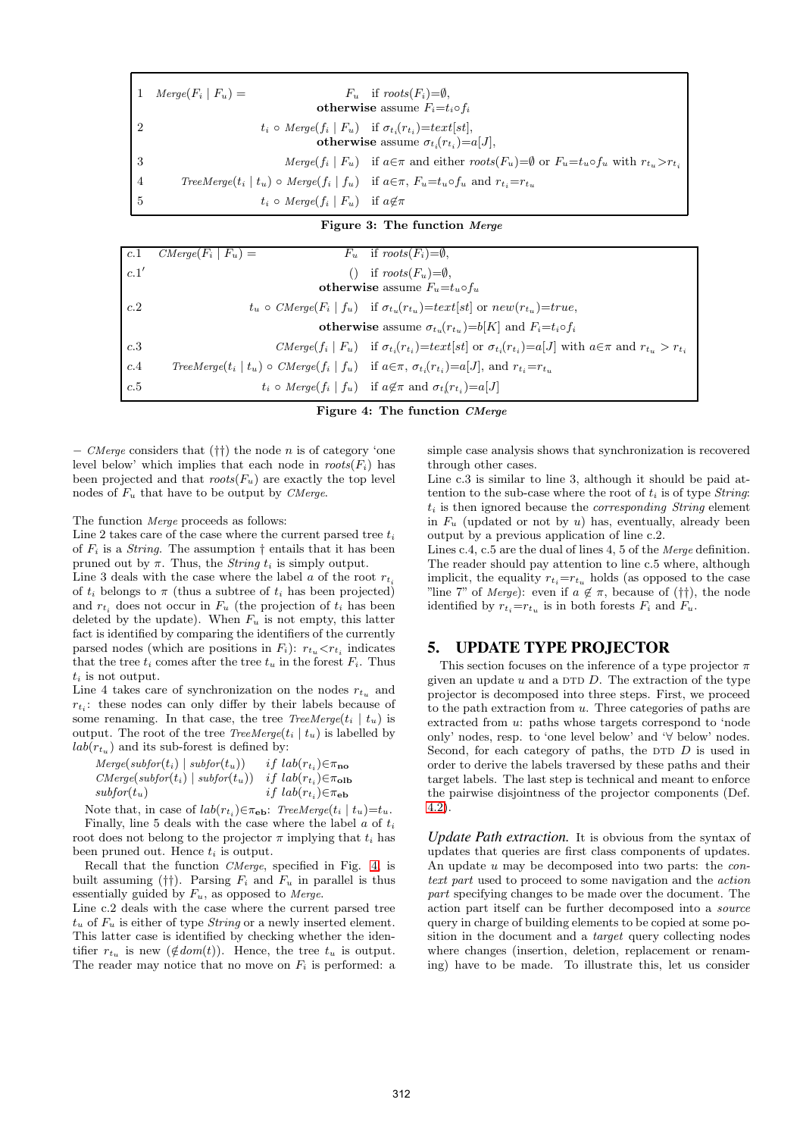|                | 1 $Merge(F_i \mid F_u) =$                                                                                            | $F_u$ if $roots(F_i)=\emptyset$ ,<br>otherwise assume $F_i = t_i \circ f_i$                                                |
|----------------|----------------------------------------------------------------------------------------------------------------------|----------------------------------------------------------------------------------------------------------------------------|
| $\overline{2}$ | $t_i \circ \text{Merge}(f_i \mid F_u)$ if $\sigma_{t_i}(r_{t_i}) = text[st],$                                        | otherwise assume $\sigma_{t_i}(r_{t_i})=a[J],$                                                                             |
| -3             |                                                                                                                      | $Merge(f_i \mid F_u)$ if $a \in \pi$ and either $roots(F_u) = \emptyset$ or $F_u = t_u \circ f_u$ with $r_{t_u} > r_{t_i}$ |
| $\overline{4}$ | TreeMerge( $t_i   t_u$ ) $\circ$ Merge( $f_i   f_u$ ) if $a \in \pi$ , $F_u = t_u \circ f_u$ and $r_{t_i} = r_{t_u}$ |                                                                                                                            |
| <sup>5</sup>   | $t_i \circ \text{Merge}(f_i \mid F_u)$ if $a \notin \pi$                                                             |                                                                                                                            |

<span id="page-5-1"></span>Figure 3: The function Merge

| c.1                                                                  | $CMerge(F_i \mid F_u) =$                                                                                                 | $F_u$ if $roots(F_i)=\emptyset$ ,                                                                                                         |  |  |  |
|----------------------------------------------------------------------|--------------------------------------------------------------------------------------------------------------------------|-------------------------------------------------------------------------------------------------------------------------------------------|--|--|--|
| c.1'                                                                 |                                                                                                                          | if $roots(F_u)=\emptyset$ ,<br>otherwise assume $F_u = t_u \circ f_u$                                                                     |  |  |  |
|                                                                      |                                                                                                                          |                                                                                                                                           |  |  |  |
| c.2                                                                  |                                                                                                                          | $t_u \circ \text{CMerge}(F_i \mid f_u)$ if $\sigma_{t_u}(r_{t_u}) = text(st]$ or $new(r_{t_u}) = true$ ,                                  |  |  |  |
| otherwise assume $\sigma_{t_n}(r_{t_n})=b[K]$ and $F_i=t_i\circ f_i$ |                                                                                                                          |                                                                                                                                           |  |  |  |
| c.3                                                                  |                                                                                                                          | CMerge( $f_i \mid F_u$ ) if $\sigma_{t_i}(r_{t_i}) = text(st]$ or $\sigma_{t_i}(r_{t_i}) = a[J]$ with $a \in \pi$ and $r_{t_u} > r_{t_i}$ |  |  |  |
| c.4                                                                  | TreeMerge $(t_i   t_u)$ o CMerge $(f_i   f_u)$ if $a \in \pi$ , $\sigma_{t_i}(r_{t_i}) = a[J]$ , and $r_{t_i} = r_{t_u}$ |                                                                                                                                           |  |  |  |
| c.5                                                                  |                                                                                                                          | $t_i \circ \text{Merge}(f_i \mid f_u)$ if $a \notin \pi$ and $\sigma_t(r_{t_i}) = a[J]$                                                   |  |  |  |

Figure 4: The function CMerge

− CMerge considers that (††) the node n is of category 'one level below' which implies that each node in  $roots(F_i)$  has been projected and that  $roots(F_u)$  are exactly the top level nodes of  $F_u$  that have to be output by *CMerge*.

#### The function Merge proceeds as follows:

Line 2 takes care of the case where the current parsed tree  $t_i$ of  $F_i$  is a *String*. The assumption  $\dagger$  entails that it has been pruned out by  $\pi$ . Thus, the *String*  $t_i$  is simply output.

Line 3 deals with the case where the label  $a$  of the root  $r_{t_i}$ of  $t_i$  belongs to  $\pi$  (thus a subtree of  $t_i$  has been projected) and  $r_{t_i}$  does not occur in  $F_u$  (the projection of  $t_i$  has been deleted by the update). When  $F_u$  is not empty, this latter fact is identified by comparing the identifiers of the currently parsed nodes (which are positions in  $F_i$ ):  $r_{t_u} < r_{t_i}$  indicates that the tree  $t_i$  comes after the tree  $t_u$  in the forest  $F_i$ . Thus  $t_i$  is not output.

Line 4 takes care of synchronization on the nodes  $r_{t_u}$  and  $r_{t_i}$ : these nodes can only differ by their labels because of some renaming. In that case, the tree  $TreeMerge(t_i | t_u)$  is output. The root of the tree  $TreeMerge(t_i | t_u)$  is labelled by  $lab(r_{t_u})$  and its sub-forest is defined by:

| $Merge(subfor(t_i)   subtor(t_u))$  | if $lab(r_{t_i}) \in \pi_{\textbf{no}}$   |
|-------------------------------------|-------------------------------------------|
| $CMerge(subfor(t_i)   subtor(t_u))$ | $if \; lab(r_{t_i}) \in \pi_{\text{olb}}$ |
| $\mathit{subfor}(t_u)$              | if $lab(r_{t_i}) \in \pi_{eb}$            |

Note that, in case of  $lab(r_{t_i}) \in \pi_{eb}$ : TreeMerge $(t_i | t_u) = t_u$ . Finally, line 5 deals with the case where the label  $a$  of  $t_i$ root does not belong to the projector  $\pi$  implying that  $t_i$  has been pruned out. Hence  $t_i$  is output.

Recall that the function CMerge, specified in Fig. [4,](#page-5-2) is built assuming (††). Parsing  $F_i$  and  $F_u$  in parallel is thus essentially guided by  $F_u$ , as opposed to Merge.

Line c.2 deals with the case where the current parsed tree  $t_u$  of  $F_u$  is either of type *String* or a newly inserted element. This latter case is identified by checking whether the identifier  $r_{t_u}$  is new ( $\notin dom(t)$ ). Hence, the tree  $t_u$  is output. The reader may notice that no move on  $F_i$  is performed: a <span id="page-5-2"></span>simple case analysis shows that synchronization is recovered through other cases.

Line c.3 is similar to line 3, although it should be paid attention to the sub-case where the root of  $t_i$  is of type *String*:  $t_i$  is then ignored because the *corresponding String* element in  $F_u$  (updated or not by u) has, eventually, already been output by a previous application of line c.2.

Lines c.4, c.5 are the dual of lines 4, 5 of the Merge definition. The reader should pay attention to line c.5 where, although implicit, the equality  $r_{t_i}=r_{t_u}$  holds (as opposed to the case "line 7" of Merge): even if  $a \notin \pi$ , because of (††), the node identified by  $r_{t_i}=r_{t_u}$  is in both forests  $F_i$  and  $F_u$ .

# <span id="page-5-0"></span>5. UPDATE TYPE PROJECTOR

This section focuses on the inference of a type projector  $\pi$ given an update  $u$  and a DTD  $D$ . The extraction of the type projector is decomposed into three steps. First, we proceed to the path extraction from  $u$ . Three categories of paths are extracted from u: paths whose targets correspond to 'node only' nodes, resp. to 'one level below' and '∀ below' nodes. Second, for each category of paths, the DTD  $D$  is used in order to derive the labels traversed by these paths and their target labels. The last step is technical and meant to enforce the pairwise disjointness of the projector components (Def. [4.2\)](#page-4-3).

*Update Path extraction.* It is obvious from the syntax of updates that queries are first class components of updates. An update u may be decomposed into two parts: the *context part* used to proceed to some navigation and the *action part* specifying changes to be made over the document. The action part itself can be further decomposed into a *source* query in charge of building elements to be copied at some position in the document and a *target* query collecting nodes where changes (insertion, deletion, replacement or renaming) have to be made. To illustrate this, let us consider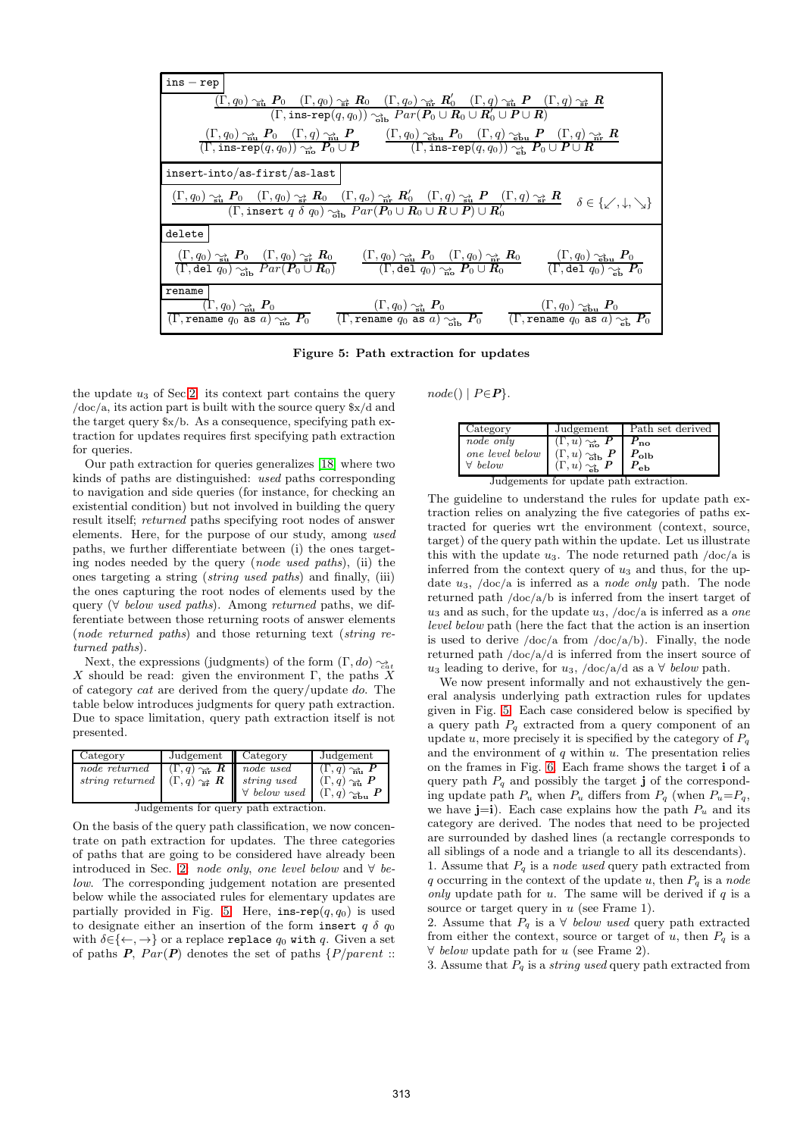| $ins - rep$                                                                                                                                                                                                                                                                                                                                                                                                                                          |  |  |  |  |
|------------------------------------------------------------------------------------------------------------------------------------------------------------------------------------------------------------------------------------------------------------------------------------------------------------------------------------------------------------------------------------------------------------------------------------------------------|--|--|--|--|
| $(\Gamma, q_0) \underset{\text{su}}{\leadsto} P_0$ $(\Gamma, q_0) \underset{\text{sr}}{\leadsto} R_0$ $(\Gamma, q_0) \underset{\text{nr}}{\leadsto} R_0'$ $(\Gamma, q) \underset{\text{su}}{\leadsto} P$ $(\Gamma, q) \underset{\text{sr}}{\leadsto} R$                                                                                                                                                                                              |  |  |  |  |
| $(\Gamma, \text{ins-rep}(q, q_0)) \sim_{\text{ob}} Par(P_0 \cup R_0 \cup R_0' \cup P \cup R)$                                                                                                                                                                                                                                                                                                                                                        |  |  |  |  |
| $\frac{\Gamma(q_0) \gamma_{\hat{m}} P_0 \Gamma(q_0) \gamma_{\hat{m}} P_0 \Gamma(q_0) \gamma_{\hat{m}} P_0 \Gamma(q_0) \Gamma(q_0)}{\Gamma, \text{ins-rep}(q, q_0) \gamma_{\hat{m}} P_0 \cup P}$ $\frac{\Gamma(q_0) \gamma_{\hat{m}} P_0 \Gamma(q_0) \gamma_{\hat{m}} P_0 \Gamma(q_0) \gamma_{\hat{m}} P_0 \Gamma(q_0) \gamma_{\hat{m}} P_0 \Gamma(q_0) \Gamma(q_0) \Gamma(q_0) \Gamma(q_0) \Gamma(q_0) \Gamma(q_0) \Gamma(q_0) \Gamma(q_0) \Gamma(q$ |  |  |  |  |
| $insert\text{-}into/as\text{-}first/as\text{-}last$                                                                                                                                                                                                                                                                                                                                                                                                  |  |  |  |  |
| $(\Gamma, q_0)$ $\underset{\text{st}}{\Leftrightarrow} P_0$ $(\Gamma, q_0)$ $\underset{\text{st}}{\Leftrightarrow} R_0$ $(\Gamma, q_0)$ $\underset{\text{at}}{\Leftrightarrow} R_0'$ $(\Gamma, q)$ $\underset{\text{st}}{\Leftrightarrow} R_0'$ $(\Gamma, q)$ $\underset{\text{st}}{\Leftrightarrow} P$ $(\Gamma, q)$ $\underset{\text{st}}{\Leftrightarrow} R$ $\delta \in {\{\swarrow, \downarrow, \searrow\}}$                                    |  |  |  |  |
| delete                                                                                                                                                                                                                                                                                                                                                                                                                                               |  |  |  |  |
| $\frac{(\Gamma, q_0) \gamma_{\text{sh}} P_0 - (\Gamma, q_0) \gamma_{\text{sh}} P_0}{(\Gamma, \text{del } q_0) \gamma_{\text{sh}} P_0 r(P_0 \cup R_0)}$ $\frac{(\Gamma, q_0) \gamma_{\text{sh}} P_0 - (\Gamma, q_0) \gamma_{\text{sh}} P_0}{(\Gamma, \text{del } q_0) \gamma_{\text{sh}} P_0 \cup R_0}$ $\frac{(\Gamma, q_0) \gamma_{\text{sh}} P_0}{(\Gamma, \text{del } q_0) \gamma_{\text{sh}} P_0}$                                               |  |  |  |  |
| rename<br>$\frac{\Gamma(q_0) \gamma_{\rm nl} P_0}{\Gamma(r_{\rm,} \text{ rename } q_0 \text{ as } a) \gamma_{\rm nb} P_0} \qquad \frac{\Gamma(q_0) \gamma_{\rm sl} P_0}{\Gamma(r_{\rm,} \text{ rename } q_0 \text{ as } a) \gamma_{\rm db} P_0}$<br>$\frac{(\Gamma, q_0) \gamma_{\text{bu}} P_0}{(\Gamma, \text{rename } q_0 \text{ as } a) \gamma_{\text{bb}} P_0}$                                                                                 |  |  |  |  |

<span id="page-6-0"></span>Figure 5: Path extraction for updates

the update  $u_3$  of Sec[.2:](#page-1-0) its context part contains the query /doc/a, its action part is built with the source query \$x/d and the target query \$x/b. As a consequence, specifying path extraction for updates requires first specifying path extraction for queries.

Our path extraction for queries generalizes [\[18\]](#page-11-2) where two kinds of paths are distinguished: *used* paths corresponding to navigation and side queries (for instance, for checking an existential condition) but not involved in building the query result itself; *returned* paths specifying root nodes of answer elements. Here, for the purpose of our study, among *used* paths, we further differentiate between (i) the ones targeting nodes needed by the query (*node used paths*), (ii) the ones targeting a string (*string used paths*) and finally, (iii) the ones capturing the root nodes of elements used by the query (∀ *below used paths*). Among *returned* paths, we differentiate between those returning roots of answer elements (*node returned paths*) and those returning text (*string returned paths*).

Next, the expressions (judgments) of the form  $(\Gamma, d\rho) \sim_{c}$ X should be read: given the environment  $\Gamma$ , the paths X of category cat are derived from the query/update do. The table below introduces judgments for query path extraction. Due to space limitation, query path extraction itself is not presented.

| Category                                                                                    | Judgement   Category |                                                                                          | Judgement                                                             |
|---------------------------------------------------------------------------------------------|----------------------|------------------------------------------------------------------------------------------|-----------------------------------------------------------------------|
| $(\Gamma, q) \rightarrow R$<br>node returned<br>string returned $(\Gamma, q) \rightarrow R$ |                      | node used<br>string used<br>$\forall$ below used $(\Gamma, q)$ $\approx_{\mathbf{bu}} P$ | $(\Gamma, q) \sim_{\text{riu}} P$<br>$(\Gamma, q) \sim_{\text{si}} P$ |
| Judgements for query path extraction.                                                       |                      |                                                                                          |                                                                       |

On the basis of the query path classification, we now concentrate on path extraction for updates. The three categories of paths that are going to be considered have already been introduced in Sec. [2:](#page-1-0) *node only*, *one level below* and ∀ *below*. The corresponding judgement notation are presented below while the associated rules for elementary updates are partially provided in Fig. [5.](#page-6-0) Here,  $ins-rep(q, q_0)$  is used to designate either an insertion of the form insert  $q \delta q_0$ with  $\delta \in \{\leftarrow, \rightarrow\}$  or a replace replace  $q_0$  with q. Given a set of paths P,  $Par(P)$  denotes the set of paths  $\{P|parent\}$ :  $node() | P \in P$ .

| Category                                                 | Judgement                                                                                                                   | Path set derived                                    |  |
|----------------------------------------------------------|-----------------------------------------------------------------------------------------------------------------------------|-----------------------------------------------------|--|
| node only<br>$\emph{one level below}$<br>$\forall$ below | $(\Gamma, u) \rightarrow P$<br>$(\Gamma, u)$ $\underset{\text{ab}}{\sim} P$<br>$(\Gamma, u)$ $\underset{\text{eb}}{\sim} P$ | $P_{\text{no}}$<br>$P_{\rm olb}$<br>$P_{\text{eb}}$ |  |
| Judgements for update path extraction.                   |                                                                                                                             |                                                     |  |

The guideline to understand the rules for update path extraction relies on analyzing the five categories of paths extracted for queries wrt the environment (context, source, target) of the query path within the update. Let us illustrate this with the update  $u_3$ . The node returned path  $/doc/a$  is inferred from the context query of  $u_3$  and thus, for the update u3, /doc/a is inferred as a *node only* path. The node returned path /doc/a/b is inferred from the insert target of  $u_3$  and as such, for the update  $u_3$ ,  $\frac{\partial}{\partial c}/a$  is inferred as a *one level below* path (here the fact that the action is an insertion is used to derive  $/doc/a$  from  $/doc/a/b$ . Finally, the node returned path /doc/a/d is inferred from the insert source of u<sub>3</sub> leading to derive, for u<sub>3</sub>,  $/$ doc $/$ a $/$ d as a  $\forall$  *below* path.

We now present informally and not exhaustively the general analysis underlying path extraction rules for updates given in Fig. [5.](#page-6-0) Each case considered below is specified by a query path  $P_q$  extracted from a query component of an update u, more precisely it is specified by the category of  $P_q$ and the environment of  $q$  within  $u$ . The presentation relies on the frames in Fig. [6.](#page-7-1) Each frame shows the target i of a query path  $P_q$  and possibly the target j of the corresponding update path  $P_u$  when  $P_u$  differs from  $P_q$  (when  $P_u = P_q$ , we have  $j=i$ ). Each case explains how the path  $P_u$  and its category are derived. The nodes that need to be projected are surrounded by dashed lines (a rectangle corresponds to all siblings of a node and a triangle to all its descendants). 1. Assume that  $P_q$  is a *node used* query path extracted from q occurring in the context of the update u, then P<sup>q</sup> is a *node only* update path for  $u$ . The same will be derived if  $q$  is a source or target query in  $u$  (see Frame 1).

2. Assume that  $P_q$  is a  $\forall$  *below used* query path extracted from either the context, source or target of  $u$ , then  $P_q$  is a ∀ *below* update path for u (see Frame 2).

3. Assume that  $P_q$  is a *string used* query path extracted from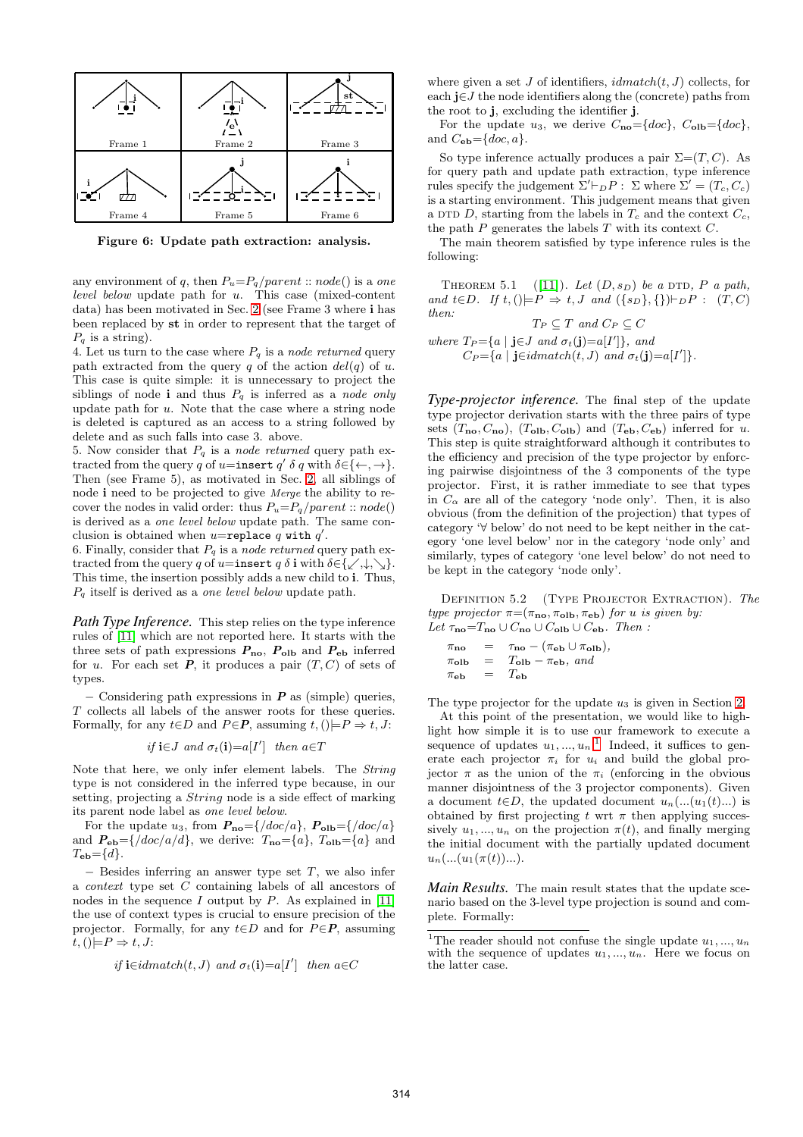

<span id="page-7-1"></span>Figure 6: Update path extraction: analysis.

any environment of q, then  $P_u = P_q$  parent :: node() is a *one level below* update path for u. This case (mixed-content data) has been motivated in Sec. [2](#page-1-0) (see Frame 3 where i has been replaced by st in order to represent that the target of  $P<sub>q</sub>$  is a string).

4. Let us turn to the case where  $P_q$  is a *node returned* query path extracted from the query q of the action  $del(q)$  of u. This case is quite simple: it is unnecessary to project the siblings of node i and thus P<sup>q</sup> is inferred as a *node only* update path for u. Note that the case where a string node is deleted is captured as an access to a string followed by delete and as such falls into case 3. above.

5. Now consider that  $P_q$  is a *node returned* query path extracted from the query q of u=insert q'  $\delta$  q with  $\delta \in \{\leftarrow, \rightarrow\}.$ Then (see Frame 5), as motivated in Sec. [2,](#page-1-0) all siblings of node i need to be projected to give Merge the ability to recover the nodes in valid order: thus  $P_u = P_q$  (parent :: node() is derived as a *one level below* update path. The same conclusion is obtained when  $u=$ replace  $q$  with  $q'$ .

6. Finally, consider that  $P_q$  is a *node returned* query path extracted from the query q of u=insert q  $\delta$  i with  $\delta \in \{\swarrow, \downarrow, \searrow\}.$ This time, the insertion possibly adds a new child to i. Thus, P<sup>q</sup> itself is derived as a *one level below* update path.

*Path Type Inference.* This step relies on the type inference rules of [\[11\]](#page-11-0) which are not reported here. It starts with the three sets of path expressions  $P_{\text{no}}$ ,  $P_{\text{olb}}$  and  $P_{\text{eb}}$  inferred for u. For each set  $P$ , it produces a pair  $(T, C)$  of sets of types.

 $-$  Considering path expressions in  $\boldsymbol{P}$  as (simple) queries, T collects all labels of the answer roots for these queries. Formally, for any  $t \in D$  and  $P \in \mathbf{P}$ , assuming  $t$ , () $\models P \Rightarrow t, J$ :

if 
$$
\mathbf{i} \in J
$$
 and  $\sigma_t(\mathbf{i}) = a[I']$  then  $a \in T$ 

Note that here, we only infer element labels. The *String* type is not considered in the inferred type because, in our setting, projecting a String node is a side effect of marking its parent node label as *one level below*.

For the update  $u_3$ , from  $P_{\text{no}} = \{ /doc/a \}$ ,  $P_{\text{olb}} = \{ /doc/a \}$ and  $P_{eb} = \frac{\{doc/a/d\}}{2}$ , we derive:  $T_{no} = \{a\}$ ,  $T_{olb} = \{a\}$  and  $T_{\mathbf{e}\mathbf{b}} = \{d\}.$ 

 $-$  Besides inferring an answer type set T, we also infer a *context* type set C containing labels of all ancestors of nodes in the sequence  $I$  output by  $P$ . As explained in [\[11\]](#page-11-0) the use of context types is crucial to ensure precision of the projector. Formally, for any  $t \in D$  and for  $P \in \mathbf{P}$ , assuming  $t, (|\equiv P \Rightarrow t, J:$ 

if 
$$
\mathbf{i} \in \mathit{idmatch}(t, J)
$$
 and  $\sigma_t(\mathbf{i}) = a[I']$  then  $a \in C$ 

where given a set  $J$  of identifiers,  $\mathcal{A}$  identifiers,  $\mathcal{A}$  collects, for each j∈J the node identifiers along the (concrete) paths from the root to j, excluding the identifier j.

For the update  $u_3$ , we derive  $C_{\text{no}} = \{doc\}$ ,  $C_{\text{olb}} = \{doc\}$ , and  $C_{\text{eb}} = \{doc, a\}.$ 

So type inference actually produces a pair  $\Sigma = (T, C)$ . As for query path and update path extraction, type inference rules specify the judgement  $\Sigma' \vdash_D P : \Sigma$  where  $\Sigma' = (T_c, C_c)$ is a starting environment. This judgement means that given a DTD  $D$ , starting from the labels in  $T_c$  and the context  $C_c$ , the path  $P$  generates the labels  $T$  with its context  $C$ .

<span id="page-7-4"></span>The main theorem satisfied by type inference rules is the following:

THEOREM 5.1 ([\[11\]](#page-11-0)). Let  $(D, s_D)$  be a DTD, P a path, *and*  $t∈D$ *.* If  $t, () \models P \Rightarrow t, J$  *and*  $({s_D}, \{) \vdash_D P : (T, C)}$ *then:*

$$
T_P \subseteq T \text{ and } C_P \subseteq C
$$
  
where  $T_P = \{a \mid \mathbf{j} \in J \text{ and } \sigma_t(\mathbf{j}) = a[I']\}, \text{ and}$   

$$
C_P = \{a \mid \mathbf{j} \in \text{idmatch}(t, J) \text{ and } \sigma_t(\mathbf{j}) = a[I']\}.
$$

*Type-projector inference.* The final step of the update type projector derivation starts with the three pairs of type sets  $(T_{\text{no}}, C_{\text{no}})$ ,  $(T_{\text{olb}}, C_{\text{olb}})$  and  $(T_{\text{eb}}, C_{\text{eb}})$  inferred for u. This step is quite straightforward although it contributes to the efficiency and precision of the type projector by enforcing pairwise disjointness of the 3 components of the type projector. First, it is rather immediate to see that types in  $C_{\alpha}$  are all of the category 'node only'. Then, it is also obvious (from the definition of the projection) that types of category '∀ below' do not need to be kept neither in the category 'one level below' nor in the category 'node only' and similarly, types of category 'one level below' do not need to be kept in the category 'node only'.

<span id="page-7-0"></span>Definition 5.2 (Type Projector Extraction). *The type projector*  $\pi = (\pi_{\text{no}}, \pi_{\text{olb}}, \pi_{\text{eb}})$  *for u is given by: Let*  $\tau_{\text{no}} = T_{\text{no}} \cup C_{\text{no}} \cup C_{\text{olb}} \cup C_{\text{eb}}$ . *Then* :

$$
\begin{array}{rcl}\n\pi_{\mathbf{n}\mathbf{o}} & = & \tau_{\mathbf{n}\mathbf{o}} - (\pi_{\mathbf{e}\mathbf{b}} \cup \pi_{\mathbf{o}\mathbf{1b}}), \\
\pi_{\mathbf{o}\mathbf{1b}} & = & T_{\mathbf{o}\mathbf{1b}} - \pi_{\mathbf{e}\mathbf{b}}, \text{ and} \\
\pi_{\mathbf{e}\mathbf{b}} & = & T_{\mathbf{e}\mathbf{b}}\n\end{array}
$$

The type projector for the update  $u_3$  is given in Section [2.](#page-1-0)

At this point of the presentation, we would like to highlight how simple it is to use our framework to execute a sequence of updates  $u_1, ..., u_n$  $u_1, ..., u_n$  $u_1, ..., u_n$ <sup>1</sup> Indeed, it suffices to generate each projector  $\pi_i$  for  $u_i$  and build the global projector  $\pi$  as the union of the  $\pi_i$  (enforcing in the obvious manner disjointness of the 3 projector components). Given a document  $t\in D$ , the updated document  $u_n(...(u_1(t)...))$  is obtained by first projecting t wrt  $\pi$  then applying successively  $u_1, ..., u_n$  on the projection  $\pi(t)$ , and finally merging the initial document with the partially updated document  $u_n(...(u_1(\pi(t))...)).$ 

*Main Results.* The main result states that the update scenario based on the 3-level type projection is sound and complete. Formally:

<span id="page-7-3"></span><span id="page-7-2"></span><sup>&</sup>lt;sup>1</sup>The reader should not confuse the single update  $u_1, ..., u_n$ with the sequence of updates  $u_1, ..., u_n$ . Here we focus on the latter case.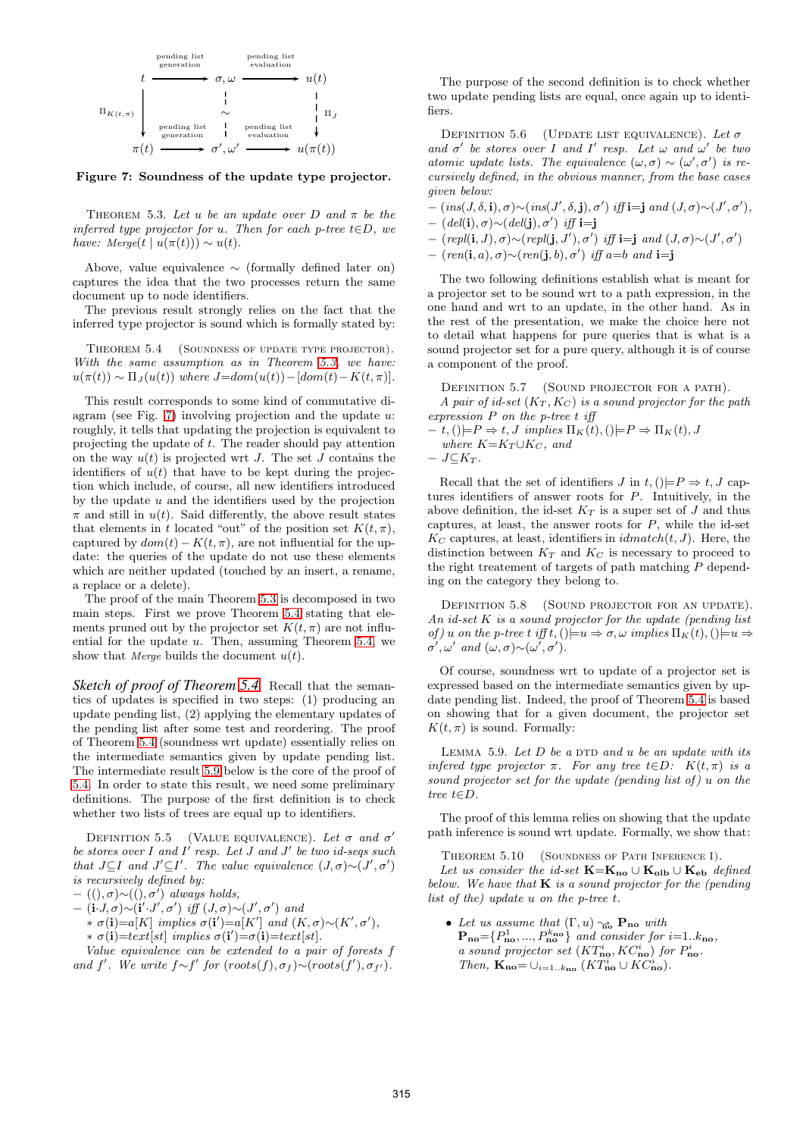

<span id="page-8-0"></span>Figure 7: Soundness of the update type projector.

THEOREM 5.3. Let u be an update over  $D$  and  $\pi$  be the *inferred type projector for* u*. Then for each p-tree* t∈D*, we have:*  $Merge(t | u(\pi(t))) \sim u(t)$ .

Above, value equivalence  $\sim$  (formally defined later on) captures the idea that the two processes return the same document up to node identifiers.

<span id="page-8-1"></span>The previous result strongly relies on the fact that the inferred type projector is sound which is formally stated by:

THEOREM 5.4 (SOUNDNESS OF UPDATE TYPE PROJECTOR). *With the same assumption as in Theorem [5.3,](#page-7-3) we have:*  $u(\pi(t))$  ∼  $\Pi_J(u(t))$  *where*  $J=dom(u(t))-[dom(t)-K(t,\pi)].$ 

This result corresponds to some kind of commutative di-agram (see Fig. [7\)](#page-8-0) involving projection and the update  $u$ : roughly, it tells that updating the projection is equivalent to projecting the update of t. The reader should pay attention on the way  $u(t)$  is projected wrt J. The set J contains the identifiers of  $u(t)$  that have to be kept during the projection which include, of course, all new identifiers introduced by the update  $u$  and the identifiers used by the projection  $\pi$  and still in  $u(t)$ . Said differently, the above result states that elements in t located "out" of the position set  $K(t, \pi)$ , captured by  $dom(t) - K(t, \pi)$ , are not influential for the update: the queries of the update do not use these elements which are neither updated (touched by an insert, a rename, a replace or a delete).

The proof of the main Theorem [5.3](#page-7-3) is decomposed in two main steps. First we prove Theorem [5.4](#page-8-1) stating that elements pruned out by the projector set  $K(t, \pi)$  are not influential for the update  $u$ . Then, assuming Theorem [5.4,](#page-8-1) we show that *Merge* builds the document  $u(t)$ .

*Sketch of proof of Theorem [5.4.](#page-8-1)* Recall that the semantics of updates is specified in two steps: (1) producing an update pending list, (2) applying the elementary updates of the pending list after some test and reordering. The proof of Theorem [5.4](#page-8-1) (soundness wrt update) essentially relies on the intermediate semantics given by update pending list. The intermediate result [5.9](#page-8-2) below is the core of the proof of [5.4.](#page-8-1) In order to state this result, we need some preliminary definitions. The purpose of the first definition is to check whether two lists of trees are equal up to identifiers.

DEFINITION 5.5 (VALUE EQUIVALENCE). Let  $\sigma$  and  $\sigma'$ *be stores over* I *and* I ′ *resp. Let* J *and* J ′ *be two id-seqs such that*  $J \subseteq I$  *and*  $J' \subseteq I'$ *. The value equivalence*  $(J, \sigma) \sim (J', \sigma')$ *is recursively defined by:*

− ((), σ)∼((), σ′ ) *always holds,*

− (i·J, σ)∼(i ′ ·J ′ , σ′ ) *iff* (J, σ)∼(J ′ , σ′ ) *and*  $\star \sigma(i)=a[K]$  *implies*  $\sigma(i')=a[K']$  *and*  $(K,\sigma) \sim (K',\sigma')$ *,*  $\star \sigma(i)=text[st]$  *implies*  $\sigma(i')=\sigma(i)=text[st].$ 

*Value equivalence can be extended to a pair of forests* f *and*  $f'$ *. We write*  $f \sim f'$  for  $(roots(f), \sigma_f) \sim (roots(f'), \sigma_{f'})$ *.* 

The purpose of the second definition is to check whether two update pending lists are equal, once again up to identifiers.

DEFINITION 5.6 (UPDATE LIST EQUIVALENCE). Let  $\sigma$ and  $\sigma'$  be stores over I and I' resp. Let  $\omega$  and  $\omega'$  be two *atomic update lists. The equivalence*  $(\omega, \sigma) \sim (\omega', \sigma')$  *is recursively defined, in the obvious manner, from the base cases given below:*

 $-$  (*ins*(*J*, δ, **i**),  $\sigma$ )∼(*ins*(*J'*, δ, **j**),  $\sigma'$ ) *iff* **i**=**j** *and* (*J*, $\sigma$ )∼(*J'*,  $\sigma'$ ),

- − (*del*(i), σ)∼(*del*(j), σ′ ) *iff* i=j
- $-$  (*repl*(**i**, *J*),  $\sigma$ )∼(*repl*(**j**, *J'*), $\sigma'$ ) *iff* **i**=**j** *and* (*J*, $\sigma$ )∼(*J'*, $\sigma'$ )

− (*ren*(i, a), σ)∼(*ren*(j, b), σ′ ) *iff* a=b *and* i=j

The two following definitions establish what is meant for a projector set to be sound wrt to a path expression, in the one hand and wrt to an update, in the other hand. As in the rest of the presentation, we make the choice here not to detail what happens for pure queries that is what is a sound projector set for a pure query, although it is of course a component of the proof.

DEFINITION 5.7 (SOUND PROJECTOR FOR A PATH).

*A pair of id-set*  $(K_T, K_C)$  *is a sound projector for the path expression* P *on the p-tree* t *iff*

$$
- t, () \models P \Rightarrow t, J \implies \Pi_K(t), () \models P \Rightarrow \Pi_K(t), J
$$
  
where  $K = K_T \cup K_C$ , and  
 $I \subseteq K$ 

 $-$  J $\subseteq$ K<sub>T</sub>.

Recall that the set of identifiers J in t,  $(|=P \Rightarrow t, J$  captures identifiers of answer roots for  $P$ . Intuitively, in the above definition, the id-set  $K_T$  is a super set of J and thus captures, at least, the answer roots for  $P$ , while the id-set  $K_C$  captures, at least, identifiers in *idmatch* $(t, J)$ . Here, the distinction between  $K_T$  and  $K_C$  is necessary to proceed to the right treatement of targets of path matching  $P$  depending on the category they belong to.

DEFINITION 5.8 (SOUND PROJECTOR FOR AN UPDATE). *An id-set* K *is a sound projector for the update (pending list of)* u on the p-tree t iff t,  $(|=u \Rightarrow \sigma, \omega \text{ implies } \Pi_K(t), ()|=u \Rightarrow$  $\sigma', \omega'$  and  $(\omega, \sigma) \sim (\omega', \sigma').$ 

Of course, soundness wrt to update of a projector set is expressed based on the intermediate semantics given by update pending list. Indeed, the proof of Theorem [5.4](#page-8-1) is based on showing that for a given document, the projector set  $K(t, \pi)$  is sound. Formally:

<span id="page-8-2"></span>LEMMA 5.9. Let  $D$  be a DTD and  $u$  be an update with its *infered type projector*  $\pi$ *. For any tree t∈D:*  $K(t, \pi)$  *is a sound projector set for the update (pending list of )* u *on the tree* t∈D*.*

<span id="page-8-3"></span>The proof of this lemma relies on showing that the update path inference is sound wrt update. Formally, we show that:

THEOREM 5.10 (SOUNDNESS OF PATH INFERENCE I). *Let us consider the id-set*  $K=K_{\text{no}}\cup K_{\text{olb}}\cup K_{\text{eb}}$  *defined below. We have that* K *is a sound projector for the (pending list of the) update* u *on the p-tree* t*.*

• Let us assume that  $(\Gamma, u) \rightarrow_{\text{no}}^{\text{th}} \mathbf{P}_{\text{no}}$  with  $\mathbf{P}_{\mathbf{no}} = \{P_{\mathbf{no}}^1, ..., P_{\mathbf{no}}^{k_{\mathbf{no}}}\}\$ and consider for  $i=1..k_{\mathbf{no}}$ , *a sound projector set*  $(KT<sub>no</sub><sup>i</sup>, KC<sub>no</sub><sup>i</sup>)$  *for*  $P<sub>no</sub><sup>i</sup>$ . *Then,*  $\mathbf{K}_{\mathbf{no}} = \bigcup_{i=1..k_{\mathbf{no}}}\left(KT_{\mathbf{no}}^i \cup KC_{\mathbf{no}}^i\right)$ .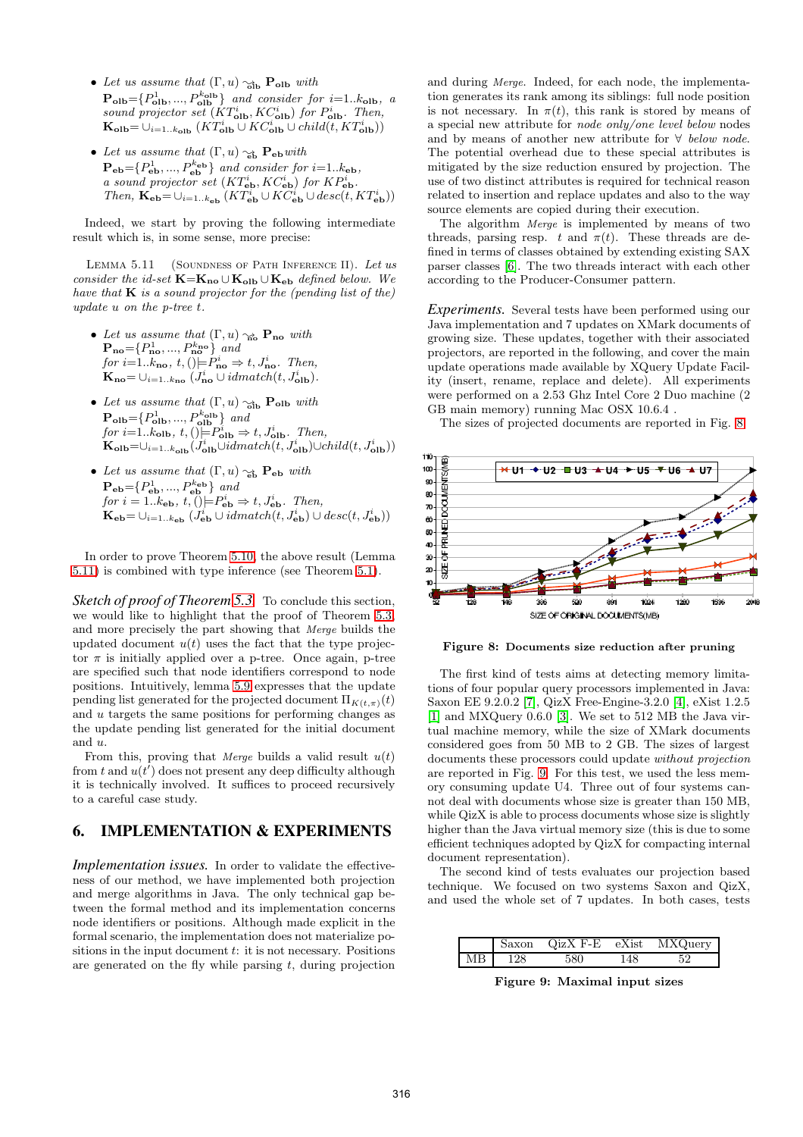- Let us assume that  $(\Gamma, u) \sim_{\text{ab}} \mathbf{P}_{\text{olb}}$  with  $\mathbf{P_{olb}} = \{P_{\mathbf{olb}}^1, ..., P_{\mathbf{olb}}^{k_{\mathbf{olb}}}\}\$ and consider for  $i=1..k_{\mathbf{olb}}$ , a sound projector set  $(KT^i_{olb}, KC^i_{olb})$  for  $P^i_{olb}$ . Then,  $\mathbf{K_{olb}} = \bigcup_{i=1..k_{olb}} (KT^i_{olb} \cup KC^i_{olb} \cup child(t, KT^i_{olb}))$
- Let us assume that  $(\Gamma, u) \sim_{\mathbf{E} \mathbf{b}} \mathbf{P}_{\mathbf{e} \mathbf{b}}$  with  $\mathbf{P}_{eb} = \{P_{eb}^1, ..., P_{eb}^{k_{eb}}\}$  and consider for  $i=1..k_{eb}$ , *a sound projector set*  $(KT_{\text{eb}}^i, KC_{\text{eb}}^i)$  *for*  $KP_{\text{eb}}^i$ . *Then,*  $\mathbf{K}_{\mathbf{eb}} = \bigcup_{i=1..k_{\mathbf{eb}}} (KT^i_{\mathbf{eb}} \cup KC^i_{\mathbf{eb}} \cup desc(t, KT^i_{\mathbf{eb}}))$

<span id="page-9-1"></span>Indeed, we start by proving the following intermediate result which is, in some sense, more precise:

Lemma 5.11 (Soundness of Path Inference II). *Let us consider the id-set* K=Kno ∪ Kolb ∪ Keb *defined below. We have that* K *is a sound projector for the (pending list of the) update* u *on the p-tree* t*.*

- Let us assume that  $(\Gamma, u) \rightarrow_{\text{no}}^{\text{th}} \mathbf{P}_{\text{no}}$  with  $\mathbf{P}_{\mathbf{no}} = \{P_{\mathbf{no}}^1, ..., P_{\mathbf{no}}^{k_{\mathbf{no}}}\}\$ and  $for i=1..k_{\text{no}}, t, () \models P_{\text{no}}^i \Rightarrow t, J_{\text{no}}^i$ . Then,  $\mathbf{K}_{\mathbf{no}} = \bigcup_{i=1..k_{\mathbf{no}}}\left(J_{\mathbf{no}}^i \cup \mathit{idmatch}(t, J_{\mathbf{olb}}^i\right).$
- Let us assume that  $(\Gamma, u) \rightarrow_{\text{ob}} \textbf{P}_{\textbf{olb}}$  *with*  $\mathbf{P_{olb}} = \{P_{\mathbf{olb}}^1, ..., P_{\mathbf{olb}}^{k_{\mathbf{olb}}}\}\$ and  $for i=1..k_{\text{olb}}, t, () \models P_{\text{olb}}^i \Rightarrow t, J_{\text{olb}}^i$ . Then,  $\mathbf{K_{olb}} = \cup_{i=1..k_{olb}} (J^i_{olb} \cup idmatch(t, J^i_{olb}) \cup child(t, J^i_{olb}))$
- Let us assume that  $(\Gamma, u) \sim_{\mathbf{E}} \mathbf{P_{eb}}$  with  ${\bf P_{eb}} = {P_{eb}^1, ..., P_{eb}^{k_{eb}}}$  and  $for i = 1..k_{\textbf{eb}}, t, 0 \models P_{\textbf{eb}}^i \Rightarrow t, J_{\textbf{eb}}^i$ . Then,  $\mathbf{K_{eb}}$ =  $\cup_{i=1..k_{\mathbf{eb}}}$   $(\overline{J_{\mathbf{eb}}^i} \cup \overline{idmatch}(t, J_{\mathbf{eb}}^i) \cup desc(t, J_{\mathbf{eb}}^i))$

In order to prove Theorem [5.10,](#page-8-3) the above result (Lemma [5.11\)](#page-9-1) is combined with type inference (see Theorem [5.1\)](#page-7-4).

*Sketch of proof of Theorem [5.3.](#page-7-3)* To conclude this section, we would like to highlight that the proof of Theorem [5.3,](#page-7-3) and more precisely the part showing that Merge builds the updated document  $u(t)$  uses the fact that the type projector  $\pi$  is initially applied over a p-tree. Once again, p-tree are specified such that node identifiers correspond to node positions. Intuitively, lemma [5.9](#page-8-2) expresses that the update pending list generated for the projected document  $\Pi_{K(t,\pi)}(t)$ and u targets the same positions for performing changes as the update pending list generated for the initial document and u.

From this, proving that Merge builds a valid result  $u(t)$ from  $t$  and  $u(t')$  does not present any deep difficulty although it is technically involved. It suffices to proceed recursively to a careful case study.

# <span id="page-9-0"></span>6. IMPLEMENTATION & EXPERIMENTS

*Implementation issues.* In order to validate the effectiveness of our method, we have implemented both projection and merge algorithms in Java. The only technical gap between the formal method and its implementation concerns node identifiers or positions. Although made explicit in the formal scenario, the implementation does not materialize positions in the input document  $t$ : it is not necessary. Positions are generated on the fly while parsing  $t$ , during projection and during Merge. Indeed, for each node, the implementation generates its rank among its siblings: full node position is not necessary. In  $\pi(t)$ , this rank is stored by means of a special new attribute for *node only/one level below* nodes and by means of another new attribute for ∀ *below node*. The potential overhead due to these special attributes is mitigated by the size reduction ensured by projection. The use of two distinct attributes is required for technical reason related to insertion and replace updates and also to the way source elements are copied during their execution.

The algorithm Merge is implemented by means of two threads, parsing resp. t and  $\pi(t)$ . These threads are defined in terms of classes obtained by extending existing SAX parser classes [\[6\]](#page-11-17). The two threads interact with each other according to the Producer-Consumer pattern.

*Experiments.* Several tests have been performed using our Java implementation and 7 updates on XMark documents of growing size. These updates, together with their associated projectors, are reported in the following, and cover the main update operations made available by XQuery Update Facility (insert, rename, replace and delete). All experiments were performed on a 2.53 Ghz Intel Core 2 Duo machine (2 GB main memory) running Mac OSX 10.6.4 .

The sizes of projected documents are reported in Fig. [8.](#page-9-2)



<span id="page-9-2"></span>Figure 8: Documents size reduction after pruning

The first kind of tests aims at detecting memory limitations of four popular query processors implemented in Java: Saxon EE 9.2.0.2 [\[7\]](#page-11-5), QizX Free-Engine-3.2.0 [\[4\]](#page-11-7), eXist 1.2.5 [\[1\]](#page-11-8) and MXQuery 0.6.0 [\[3\]](#page-11-18). We set to 512 MB the Java virtual machine memory, while the size of XMark documents considered goes from 50 MB to 2 GB. The sizes of largest documents these processors could update *without projection* are reported in Fig. [9.](#page-9-3) For this test, we used the less memory consuming update U4. Three out of four systems cannot deal with documents whose size is greater than 150 MB, while QizX is able to process documents whose size is slightly higher than the Java virtual memory size (this is due to some efficient techniques adopted by QizX for compacting internal document representation).

The second kind of tests evaluates our projection based technique. We focused on two systems Saxon and QizX, and used the whole set of 7 updates. In both cases, tests

| axon | F-E<br>)izX | eXist | $-77$ $\sim$<br>uery |
|------|-------------|-------|----------------------|
|      |             |       | ¤າ                   |

<span id="page-9-3"></span>Figure 9: Maximal input sizes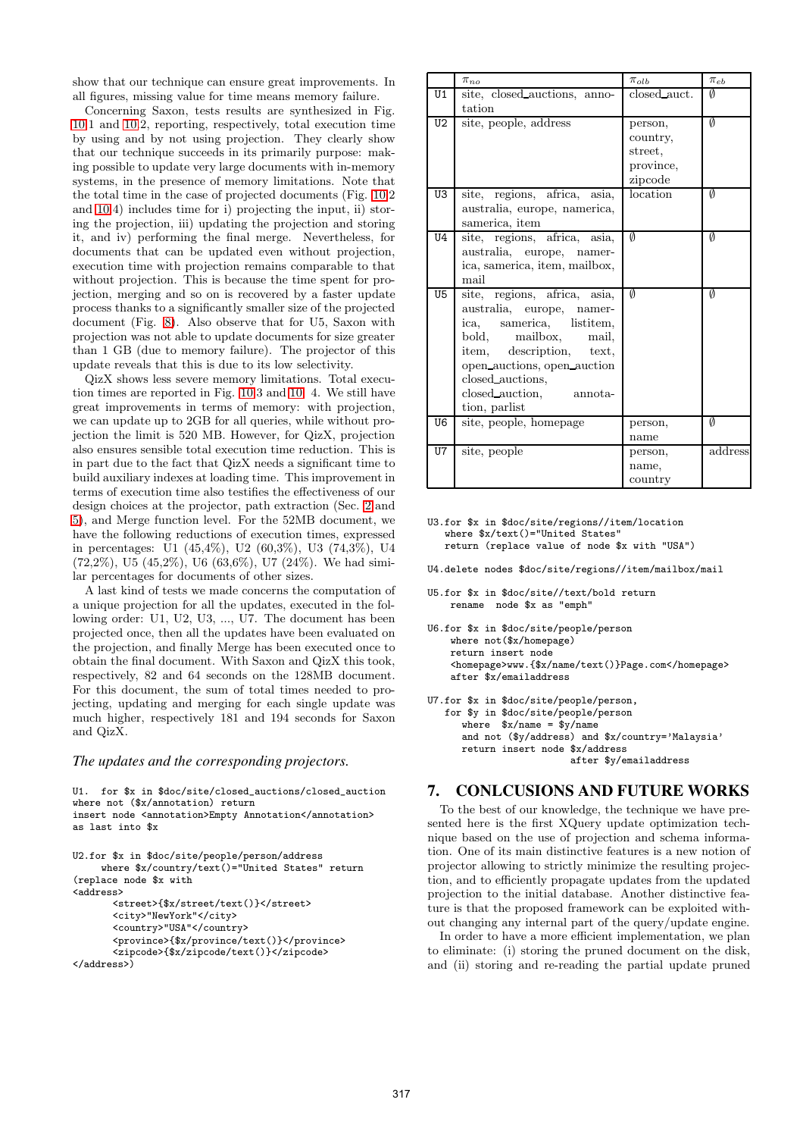show that our technique can ensure great improvements. In all figures, missing value for time means memory failure.

Concerning Saxon, tests results are synthesized in Fig. [10.](#page-11-19)1 and [10.](#page-11-19)2, reporting, respectively, total execution time by using and by not using projection. They clearly show that our technique succeeds in its primarily purpose: making possible to update very large documents with in-memory systems, in the presence of memory limitations. Note that the total time in the case of projected documents (Fig. [10.](#page-11-19)2 and [10.](#page-11-19)4) includes time for i) projecting the input, ii) storing the projection, iii) updating the projection and storing it, and iv) performing the final merge. Nevertheless, for documents that can be updated even without projection, execution time with projection remains comparable to that without projection. This is because the time spent for projection, merging and so on is recovered by a faster update process thanks to a significantly smaller size of the projected document (Fig. [8\)](#page-9-2). Also observe that for U5, Saxon with projection was not able to update documents for size greater than 1 GB (due to memory failure). The projector of this update reveals that this is due to its low selectivity.

QizX shows less severe memory limitations. Total execution times are reported in Fig. [10.](#page-11-19)3 and [10.](#page-11-19) 4. We still have great improvements in terms of memory: with projection, we can update up to 2GB for all queries, while without projection the limit is 520 MB. However, for QizX, projection also ensures sensible total execution time reduction. This is in part due to the fact that QizX needs a significant time to build auxiliary indexes at loading time. This improvement in terms of execution time also testifies the effectiveness of our design choices at the projector, path extraction (Sec. [2](#page-1-0) and [5\)](#page-5-0), and Merge function level. For the 52MB document, we have the following reductions of execution times, expressed in percentages: U1 (45,4%), U2 (60,3%), U3 (74,3%), U4 (72,2%), U5 (45,2%), U6 (63,6%), U7 (24%). We had similar percentages for documents of other sizes.

A last kind of tests we made concerns the computation of a unique projection for all the updates, executed in the following order: U1, U2, U3, ..., U7. The document has been projected once, then all the updates have been evaluated on the projection, and finally Merge has been executed once to obtain the final document. With Saxon and QizX this took, respectively, 82 and 64 seconds on the 128MB document. For this document, the sum of total times needed to projecting, updating and merging for each single update was much higher, respectively 181 and 194 seconds for Saxon and QizX.

#### *The updates and the corresponding projectors.*

```
U1. for $x in $doc/site/closed_auctions/closed_auction
where not ($x/annotation) return
insert node <annotation>Empty Annotation</annotation>
as last into $x
U2.for $x in $doc/site/people/person/address
     where x/country/text()="United States" return
(replace node $x with
<address>
       <street>{$x/street/text()}</street>
       <city>"NewYork"</city>
       <country>"USA"</country>
       <province>{$x/province/text()}</province>
```

```
<zipcode>{$x/zipcode/text()}</zipcode>
</address>)
```

|                | $\pi_{no}$                                      | $\pi_{olb}$  | $\pi_{eb}$ |
|----------------|-------------------------------------------------|--------------|------------|
| U1             | site, closed_auctions, anno-                    | closed_auct. | Ø          |
|                | tation                                          |              |            |
| U2             | site, people, address                           | person,      | Ø          |
|                |                                                 | country.     |            |
|                |                                                 | street.      |            |
|                |                                                 | province,    |            |
|                |                                                 | zipcode      |            |
| U3             | site, regions, africa, asia,                    | location     | Ø          |
|                | australia, europe, namerica,                    |              |            |
|                | samerica, item                                  |              |            |
| U <sub>4</sub> | site, regions, africa, asia,                    | Ø            | Ø          |
|                | australia, europe, namer-                       |              |            |
|                | ica, samerica, item, mailbox,                   |              |            |
|                | mail                                            |              |            |
| U <sub>5</sub> | site, regions, africa, asia,                    | Ø            | Ø          |
|                | australia, europe, namer-                       |              |            |
|                | ica, samerica, listitem,                        |              |            |
|                | bold,<br>mailbox,<br>mail,                      |              |            |
|                | item, description, text,                        |              |            |
|                | open_auctions, open_auction<br>closed auctions, |              |            |
|                | closed_auction, annota-                         |              |            |
|                | tion, parlist                                   |              |            |
| U <sub>6</sub> | site, people, homepage                          | person,      | Ø          |
|                |                                                 | name         |            |
| U7             | site, people                                    | person,      | address    |
|                |                                                 | name.        |            |
|                |                                                 | country      |            |
|                |                                                 |              |            |

U3.for \$x in \$doc/site/regions//item/location where \$x/text()="United States" return (replace value of node \$x with "USA")

- U4.delete nodes \$doc/site/regions//item/mailbox/mail
- U5.for \$x in \$doc/site//text/bold return rename node \$x as "emph"
- U6.for \$x in \$doc/site/people/person where not(\$x/homepage) return insert node <homepage>www.{\$x/name/text()}Page.com</homepage> after \$x/emailaddress

U7.for \$x in \$doc/site/people/person,

for \$y in \$doc/site/people/person where  $\frac{x}{\max}$  =  $\frac{y}{\max}$ and not (\$y/address) and \$x/country='Malaysia' return insert node \$x/address after \$y/emailaddress

## <span id="page-10-0"></span>7. CONLCUSIONS AND FUTURE WORKS

To the best of our knowledge, the technique we have presented here is the first XQuery update optimization technique based on the use of projection and schema information. One of its main distinctive features is a new notion of projector allowing to strictly minimize the resulting projection, and to efficiently propagate updates from the updated projection to the initial database. Another distinctive feature is that the proposed framework can be exploited without changing any internal part of the query/update engine.

In order to have a more efficient implementation, we plan to eliminate: (i) storing the pruned document on the disk, and (ii) storing and re-reading the partial update pruned